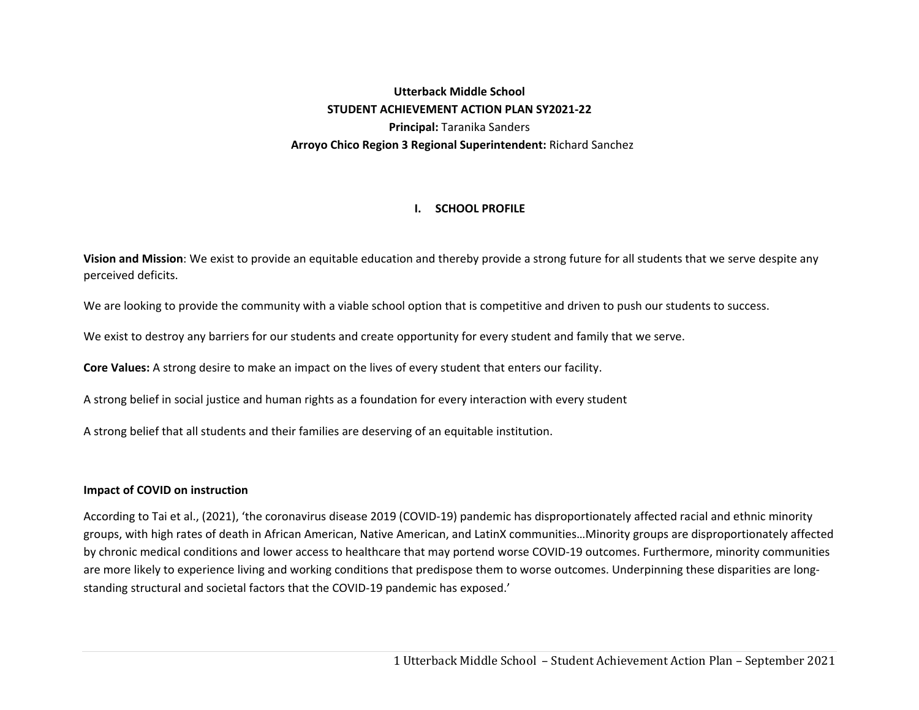# **Utterback Middle School STUDENT ACHIEVEMENT ACTION PLAN SY2021‐22 Principal:** Taranika Sanders **Arroyo Chico Region 3 Regional Superintendent:** Richard Sanchez

## **I. SCHOOL PROFILE**

**Vision and Mission**: We exist to provide an equitable education and thereby provide a strong future for all students that we serve despite any perceived deficits.

We are looking to provide the community with a viable school option that is competitive and driven to push our students to success.

We exist to destroy any barriers for our students and create opportunity for every student and family that we serve.

**Core Values:** A strong desire to make an impact on the lives of every student that enters our facility.

A strong belief in social justice and human rights as a foundation for every interaction with every student

A strong belief that all students and their families are deserving of an equitable institution.

### **Impact of COVID on instruction**

According to Tai et al., (2021), 'the coronavirus disease 2019 (COVID‐19) pandemic has disproportionately affected racial and ethnic minority groups, with high rates of death in African American, Native American, and LatinX communities…Minority groups are disproportionately affected by chronic medical conditions and lower access to healthcare that may portend worse COVID‐19 outcomes. Furthermore, minority communities are more likely to experience living and working conditions that predispose them to worse outcomes. Underpinning these disparities are longstanding structural and societal factors that the COVID‐19 pandemic has exposed.'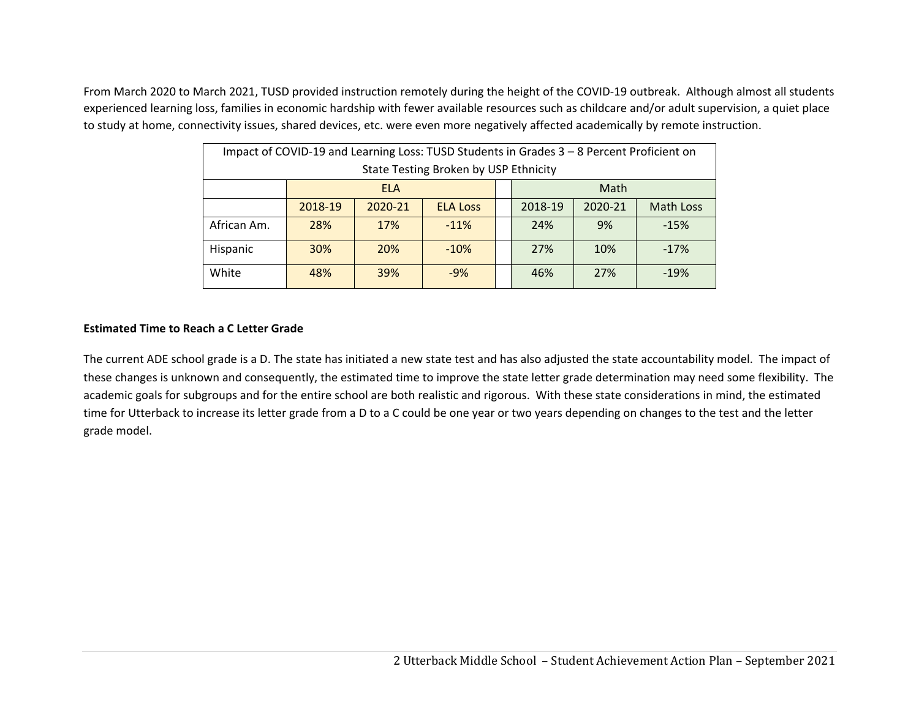From March 2020 to March 2021, TUSD provided instruction remotely during the height of the COVID-19 outbreak. Although almost all students experienced learning loss, families in economic hardship with fewer available resources such as childcare and/or adult supervision, a quiet place to study at home, connectivity issues, shared devices, etc. were even more negatively affected academically by remote instruction.

| Impact of COVID-19 and Learning Loss: TUSD Students in Grades 3 - 8 Percent Proficient on |                    |                                      |                 |  |                                        |     |        |  |  |
|-------------------------------------------------------------------------------------------|--------------------|--------------------------------------|-----------------|--|----------------------------------------|-----|--------|--|--|
| State Testing Broken by USP Ethnicity                                                     |                    |                                      |                 |  |                                        |     |        |  |  |
|                                                                                           | Math<br><b>ELA</b> |                                      |                 |  |                                        |     |        |  |  |
|                                                                                           | 2018-19            | 2020-21                              | <b>ELA Loss</b> |  | 2018-19<br>2020-21<br><b>Math Loss</b> |     |        |  |  |
| African Am.                                                                               | 28%                | 17%                                  | $-11%$          |  | 24%                                    | 9%  | $-15%$ |  |  |
| Hispanic                                                                                  | 30%                | 20%                                  | $-10%$          |  | 27%                                    | 10% | $-17%$ |  |  |
| White                                                                                     | 48%                | 39%<br>27%<br>$-9%$<br>46%<br>$-19%$ |                 |  |                                        |     |        |  |  |

### **Estimated Time to Reach a C Letter Grade**

The current ADE school grade is a D. The state has initiated a new state test and has also adjusted the state accountability model. The impact of these changes is unknown and consequently, the estimated time to improve the state letter grade determination may need some flexibility. The academic goals for subgroups and for the entire school are both realistic and rigorous. With these state considerations in mind, the estimated time for Utterback to increase its letter grade from a D to a C could be one year or two years depending on changes to the test and the letter grade model.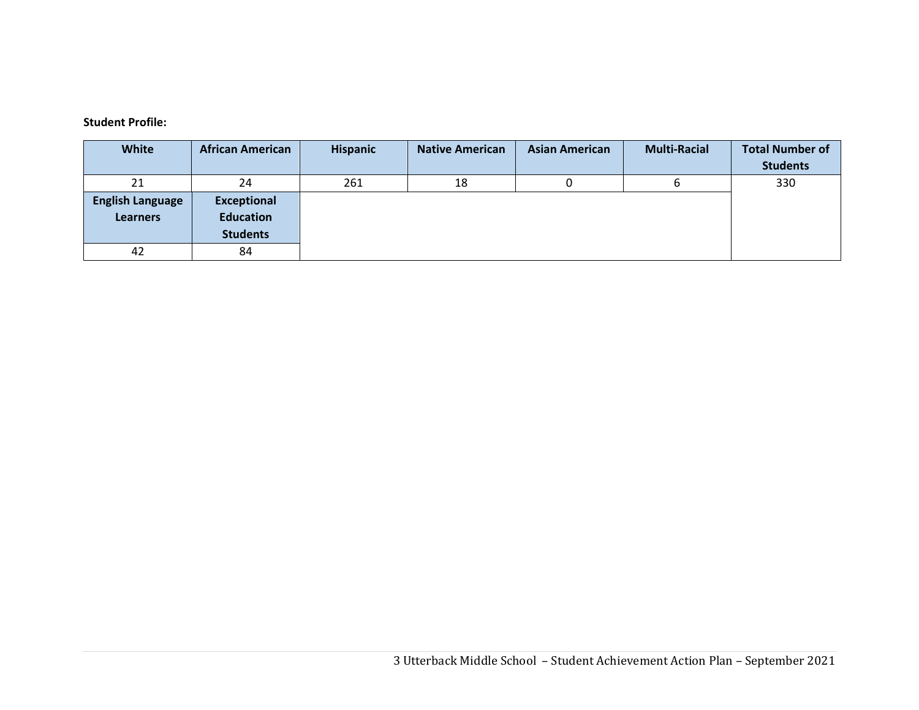#### **Student Profile:**

| <b>White</b>                               | <b>African American</b>                                   | <b>Hispanic</b> | <b>Native American</b> | <b>Asian American</b> | <b>Multi-Racial</b> | <b>Total Number of</b><br><b>Students</b> |
|--------------------------------------------|-----------------------------------------------------------|-----------------|------------------------|-----------------------|---------------------|-------------------------------------------|
| 21                                         | 24                                                        | 261             | 18                     |                       |                     | 330                                       |
| <b>English Language</b><br><b>Learners</b> | <b>Exceptional</b><br><b>Education</b><br><b>Students</b> |                 |                        |                       |                     |                                           |
| 42                                         | 84                                                        |                 |                        |                       |                     |                                           |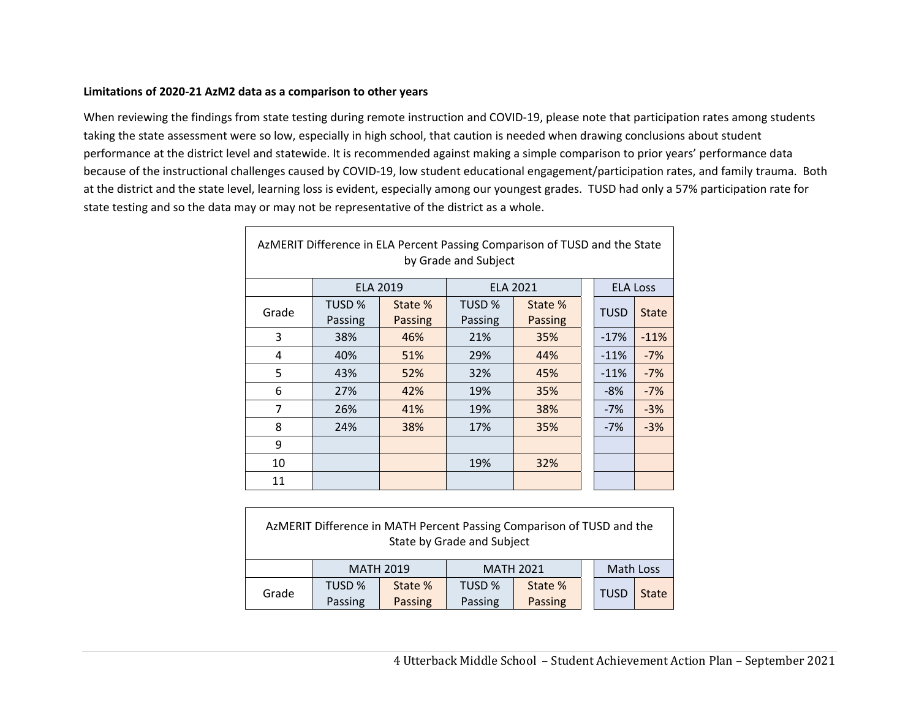#### **Limitations of 2020‐21 AzM2 data as a comparison to other years**

 $\Gamma$ 

When reviewing the findings from state testing during remote instruction and COVID‐19, please note that participation rates among students taking the state assessment were so low, especially in high school, that caution is needed when drawing conclusions about student performance at the district level and statewide. It is recommended against making a simple comparison to prior years' performance data because of the instructional challenges caused by COVID‐19, low student educational engagement/participation rates, and family trauma. Both at the district and the state level, learning loss is evident, especially among our youngest grades. TUSD had only a 57% participation rate for state testing and so the data may or may not be representative of the district as a whole.

| AzMERIT Difference in ELA Percent Passing Comparison of TUSD and the State<br>by Grade and Subject |         |                 |         |                 |  |                 |              |
|----------------------------------------------------------------------------------------------------|---------|-----------------|---------|-----------------|--|-----------------|--------------|
|                                                                                                    |         | <b>ELA 2019</b> |         | <b>ELA 2021</b> |  | <b>ELA Loss</b> |              |
| Grade                                                                                              | TUSD %  | State %         | TUSD %  | State %         |  | <b>TUSD</b>     | <b>State</b> |
|                                                                                                    | Passing | <b>Passing</b>  | Passing | <b>Passing</b>  |  |                 |              |
| 3                                                                                                  | 38%     | 46%             | 21%     | 35%             |  | $-17%$          | $-11%$       |
| 4                                                                                                  | 40%     | 51%             | 29%     | 44%             |  | $-11%$          | $-7%$        |
| 5                                                                                                  | 43%     | 52%             | 32%     | 45%             |  | $-11%$          | $-7%$        |
| 6                                                                                                  | 27%     | 42%             | 19%     | 35%             |  | $-8%$           | $-7%$        |
| $\overline{7}$                                                                                     | 26%     | 41%             | 19%     | 38%             |  | $-7%$           | $-3%$        |
| 8                                                                                                  | 24%     | 38%             | 17%     | 35%             |  | $-7%$           | $-3%$        |
| 9                                                                                                  |         |                 |         |                 |  |                 |              |
| 10                                                                                                 |         |                 | 19%     | 32%             |  |                 |              |
| 11                                                                                                 |         |                 |         |                 |  |                 |              |

|       | AzMERIT Difference in MATH Percent Passing Comparison of TUSD and the<br>State by Grade and Subject |                                                   |                   |                    |  |             |              |  |
|-------|-----------------------------------------------------------------------------------------------------|---------------------------------------------------|-------------------|--------------------|--|-------------|--------------|--|
|       |                                                                                                     | Math Loss<br><b>MATH 2019</b><br><b>MATH 2021</b> |                   |                    |  |             |              |  |
| Grade | TUSD %<br>Passing                                                                                   | State %<br>Passing                                | TUSD %<br>Passing | State %<br>Passing |  | <b>TUSD</b> | <b>State</b> |  |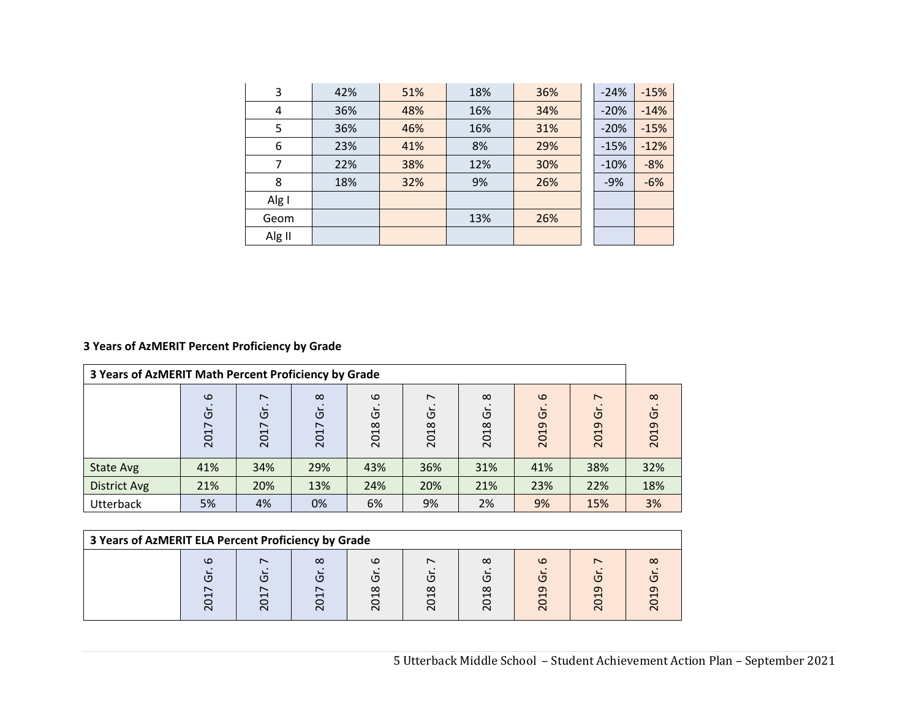| 3      | 42% | 51% | 18% | 36% | $-24%$ | $-15%$ |
|--------|-----|-----|-----|-----|--------|--------|
| 4      | 36% | 48% | 16% | 34% | $-20%$ | $-14%$ |
| 5      | 36% | 46% | 16% | 31% | $-20%$ | $-15%$ |
| 6      | 23% | 41% | 8%  | 29% | $-15%$ | $-12%$ |
| 7      | 22% | 38% | 12% | 30% | $-10%$ | $-8%$  |
| 8      | 18% | 32% | 9%  | 26% | $-9%$  | $-6%$  |
| Alg I  |     |     |     |     |        |        |
| Geom   |     |     | 13% | 26% |        |        |
| Alg II |     |     |     |     |        |        |

## **3 Years of AzMERIT Percent Proficiency by Grade**

| 3 Years of AzMERIT Math Percent Proficiency by Grade |                       |                                            |                                                  |                       |                                       |                        |                           |                                            |                       |
|------------------------------------------------------|-----------------------|--------------------------------------------|--------------------------------------------------|-----------------------|---------------------------------------|------------------------|---------------------------|--------------------------------------------|-----------------------|
|                                                      | $\omega$<br>έ<br>2017 | $\overline{ }$<br>$\tilde{\sigma}$<br>2017 | $\infty$<br>ច<br>$\overline{\phantom{0}}$<br>201 | $\omega$<br>δ<br>2018 | $\overline{\phantom{0}}$<br>Ğ<br>2018 | $\infty$<br>ັບ<br>2018 | $\omega$<br>ά<br>თ<br>201 | $\overline{ }$<br>$\tilde{\sigma}$<br>2019 | $\infty$<br>O<br>2019 |
| State Avg                                            | 41%                   | 34%                                        | 29%                                              | 43%                   | 36%                                   | 31%                    | 41%                       | 38%                                        | 32%                   |
| <b>District Avg</b>                                  | 21%                   | 20%                                        | 13%                                              | 24%                   | 20%                                   | 21%                    | 23%                       | 22%                                        | 18%                   |
| <b>Utterback</b>                                     | 5%                    | 4%                                         | 0%                                               | 6%                    | 9%                                    | 2%                     | 9%                        | 15%                                        | 3%                    |

| 3 Years of AzMERIT ELA Percent Proficiency by Grade |  |                 |          |                       |   |                                            |                     |                      |          |
|-----------------------------------------------------|--|-----------------|----------|-----------------------|---|--------------------------------------------|---------------------|----------------------|----------|
|                                                     |  | $\sqrt{2}$<br>∼ | $\infty$ | ιo<br>1 N<br>$\infty$ | œ | $\infty$<br>( П<br>$\infty$<br>⌒<br>$\sim$ | ιo<br>( 0<br>$\sim$ | <u> (Г</u><br>თ<br>⌒ | $\infty$ |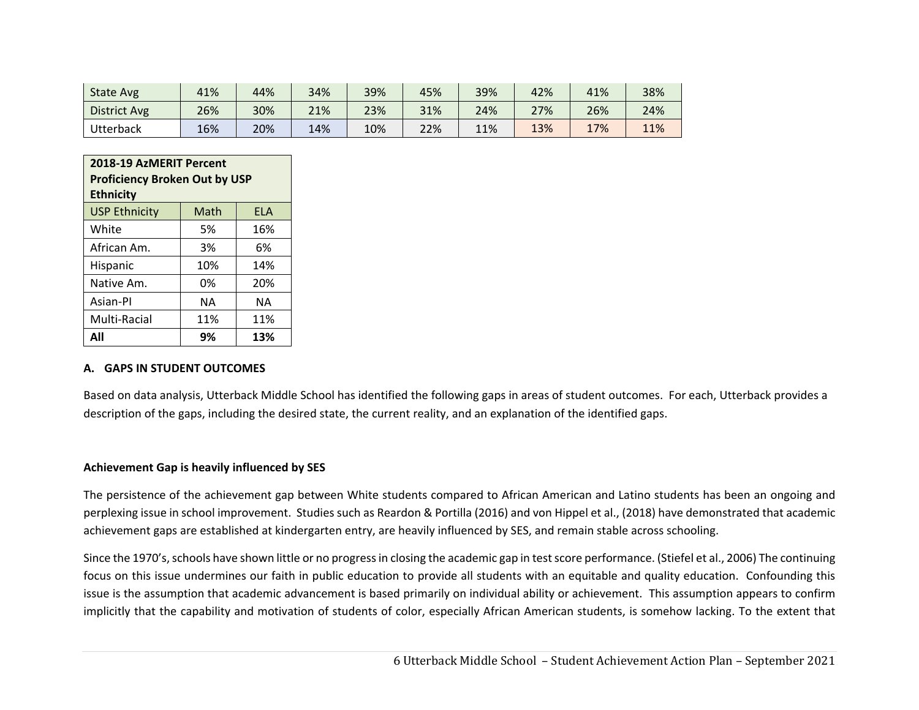| <b>State Avg</b>    | 41% | 44% | 34% | 39% | 45% | 39% | 42% | 41% | 38% |
|---------------------|-----|-----|-----|-----|-----|-----|-----|-----|-----|
| <b>District Avg</b> | 26% | 30% | 21% | 23% | 31% | 24% | 27% | 26% | 24% |
| Utterback           | 16% | 20% | 14% | 10% | 22% | 11% | 13% | 17% | 11% |

| 2018-19 AzMERIT Percent<br><b>Proficiency Broken Out by USP</b><br><b>Ethnicity</b> |     |     |  |  |  |  |  |
|-------------------------------------------------------------------------------------|-----|-----|--|--|--|--|--|
| <b>USP Ethnicity</b><br>Math<br><b>FLA</b>                                          |     |     |  |  |  |  |  |
| White                                                                               | 5%  | 16% |  |  |  |  |  |
| African Am.                                                                         | 3%  | 6%  |  |  |  |  |  |
| Hispanic                                                                            | 10% | 14% |  |  |  |  |  |
| Native Am.                                                                          | 0%  | 20% |  |  |  |  |  |
| Asian-Pl                                                                            | NΑ  | NΑ  |  |  |  |  |  |
| Multi-Racial<br>11%<br>11%                                                          |     |     |  |  |  |  |  |
| Δll                                                                                 | 9%  | 13% |  |  |  |  |  |

#### **A. GAPS IN STUDENT OUTCOMES**

Based on data analysis, Utterback Middle School has identified the following gaps in areas of student outcomes. For each, Utterback provides a description of the gaps, including the desired state, the current reality, and an explanation of the identified gaps.

#### **Achievement Gap is heavily influenced by SES**

The persistence of the achievement gap between White students compared to African American and Latino students has been an ongoing and perplexing issue in school improvement. Studies such as Reardon & Portilla (2016) and von Hippel et al., (2018) have demonstrated that academic achievement gaps are established at kindergarten entry, are heavily influenced by SES, and remain stable across schooling.

Since the 1970's, schools have shown little or no progress in closing the academic gap in test score performance. (Stiefel et al., 2006) The continuing focus on this issue undermines our faith in public education to provide all students with an equitable and quality education. Confounding this issue is the assumption that academic advancement is based primarily on individual ability or achievement. This assumption appears to confirm implicitly that the capability and motivation of students of color, especially African American students, is somehow lacking. To the extent that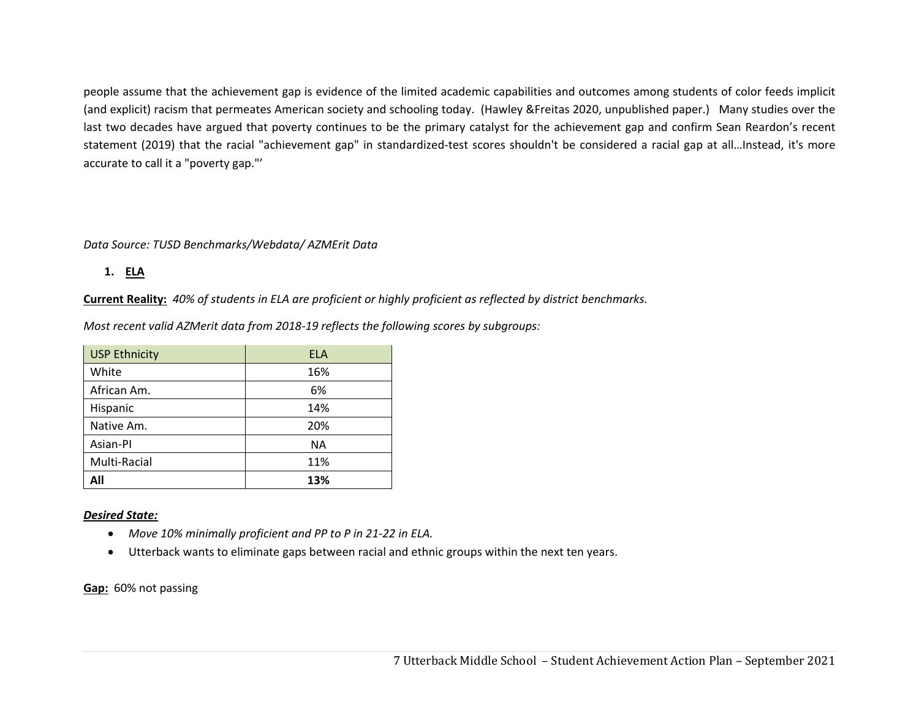people assume that the achievement gap is evidence of the limited academic capabilities and outcomes among students of color feeds implicit (and explicit) racism that permeates American society and schooling today. (Hawley &Freitas 2020, unpublished paper.) Many studies over the last two decades have argued that poverty continues to be the primary catalyst for the achievement gap and confirm Sean Reardon's recent statement (2019) that the racial "achievement gap" in standardized-test scores shouldn't be considered a racial gap at all...Instead, it's more accurate to call it a "poverty gap."'

### *Data Source: TUSD Benchmarks/Webdata/ AZMErit Data*

**1. ELA** 

**Current Reality:** *40% of students in ELA are proficient or highly proficient as reflected by district benchmarks.* 

*Most recent valid AZMerit data from 2018‐19 reflects the following scores by subgroups:* 

| <b>USP Ethnicity</b> | ELA |
|----------------------|-----|
| White                | 16% |
| African Am.          | 6%  |
| Hispanic             | 14% |
| Native Am.           | 20% |
| Asian-Pl             | NA  |
| Multi-Racial         | 11% |
| All                  | 13% |

### *Desired State:*

- $\bullet$ *Move 10% minimally proficient and PP to P in 21‐22 in ELA.*
- $\bullet$ Utterback wants to eliminate gaps between racial and ethnic groups within the next ten years.

**Gap:** 60% not passing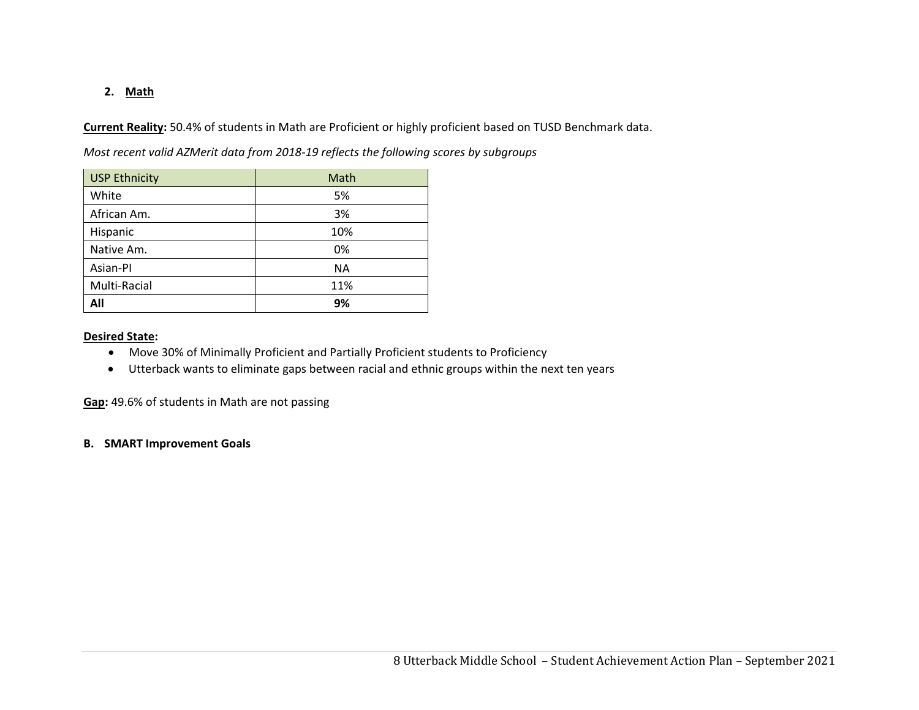### **2. Math**

**Current Reality:** 50.4% of students in Math are Proficient or highly proficient based on TUSD Benchmark data.

*Most recent valid AZMerit data from 2018‐19 reflects the following scores by subgroups*

| <b>USP Ethnicity</b> | Math      |
|----------------------|-----------|
| White                | 5%        |
| African Am.          | 3%        |
| Hispanic             | 10%       |
| Native Am.           | 0%        |
| Asian-PI             | <b>NA</b> |
| Multi-Racial         | 11%       |
| All                  | 9%        |

#### **Desired State:**

- Move 30% of Minimally Proficient and Partially Proficient students to Proficiency
- Utterback wants to eliminate gaps between racial and ethnic groups within the next ten years

**Gap:** 49.6% of students in Math are not passing

#### **B. SMART Improvement Goals**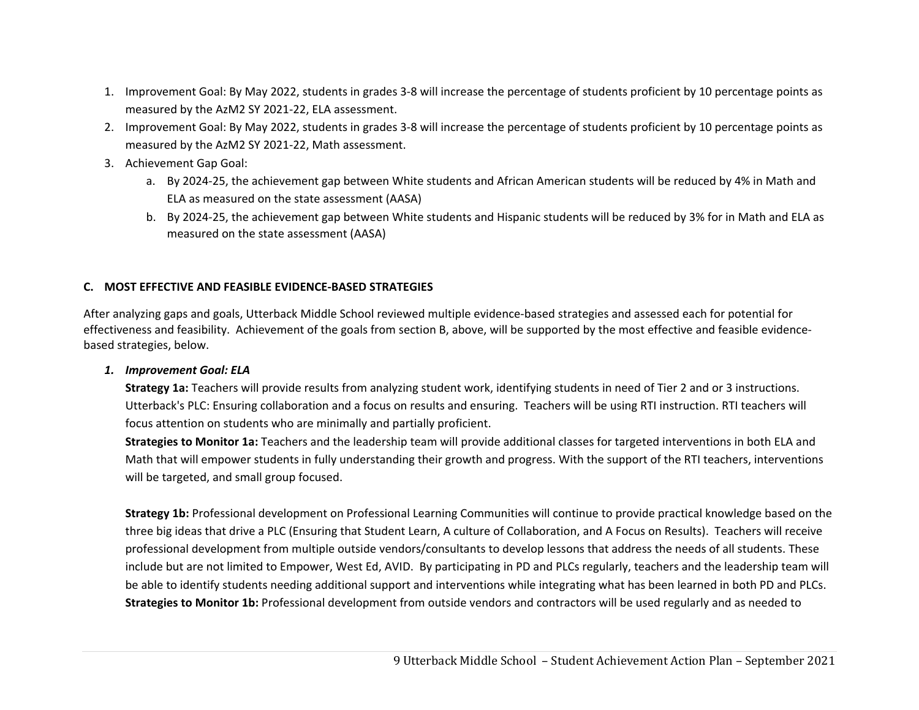- 1. Improvement Goal: By May 2022, students in grades 3‐8 will increase the percentage of students proficient by 10 percentage points as measured by the AzM2 SY 2021‐22, ELA assessment.
- 2. Improvement Goal: By May 2022, students in grades 3‐8 will increase the percentage of students proficient by 10 percentage points as measured by the AzM2 SY 2021‐22, Math assessment.
- 3. Achievement Gap Goal:
	- a. By 2024‐25, the achievement gap between White students and African American students will be reduced by 4% in Math and ELA as measured on the state assessment (AASA)
	- b. By 2024‐25, the achievement gap between White students and Hispanic students will be reduced by 3% for in Math and ELA as measured on the state assessment (AASA)

## **C. MOST EFFECTIVE AND FEASIBLE EVIDENCE‐BASED STRATEGIES**

After analyzing gaps and goals, Utterback Middle School reviewed multiple evidence‐based strategies and assessed each for potential for effectiveness and feasibility. Achievement of the goals from section B, above, will be supported by the most effective and feasible evidence‐ based strategies, below.

### *1. Improvement Goal: ELA*

**Strategy 1a:** Teachers will provide results from analyzing student work, identifying students in need of Tier 2 and or 3 instructions. Utterback's PLC: Ensuring collaboration and a focus on results and ensuring. Teachers will be using RTI instruction. RTI teachers will focus attention on students who are minimally and partially proficient.

**Strategies to Monitor 1a:** Teachers and the leadership team will provide additional classes for targeted interventions in both ELA and Math that will empower students in fully understanding their growth and progress. With the support of the RTI teachers, interventions will be targeted, and small group focused.

**Strategy 1b:** Professional development on Professional Learning Communities will continue to provide practical knowledge based on the three big ideas that drive a PLC (Ensuring that Student Learn, A culture of Collaboration, and A Focus on Results). Teachers will receive professional development from multiple outside vendors/consultants to develop lessons that address the needs of all students. These include but are not limited to Empower, West Ed, AVID. By participating in PD and PLCs regularly, teachers and the leadership team will be able to identify students needing additional support and interventions while integrating what has been learned in both PD and PLCs. **Strategies to Monitor 1b:** Professional development from outside vendors and contractors will be used regularly and as needed to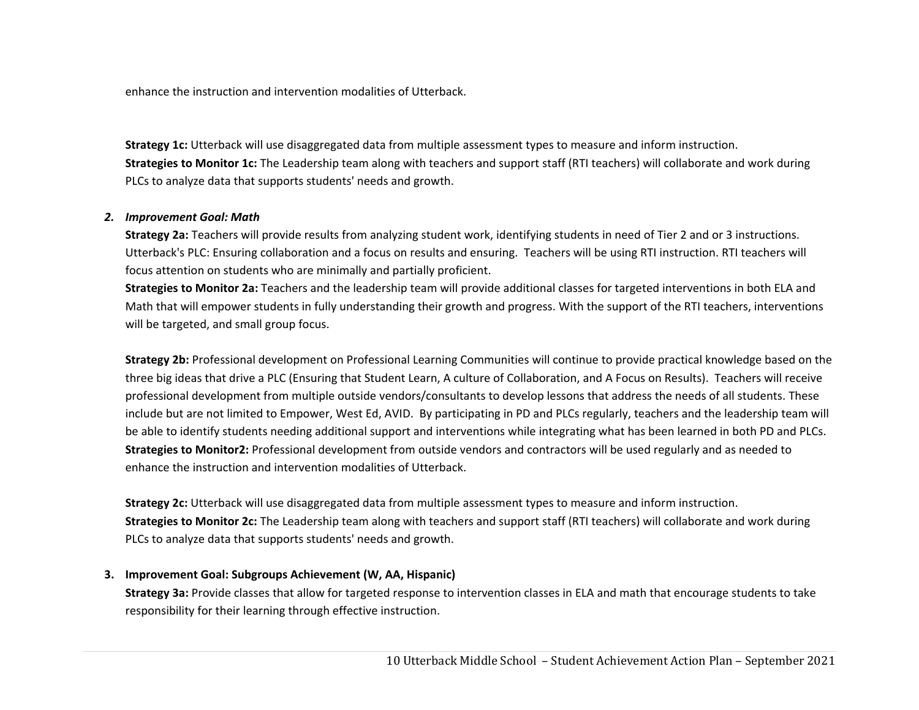enhance the instruction and intervention modalities of Utterback.

**Strategy 1c:** Utterback will use disaggregated data from multiple assessment types to measure and inform instruction. **Strategies to Monitor 1c:** The Leadership team along with teachers and support staff (RTI teachers) will collaborate and work during PLCs to analyze data that supports students' needs and growth.

### *2. Improvement Goal: Math*

**Strategy 2a:** Teachers will provide results from analyzing student work, identifying students in need of Tier 2 and or 3 instructions. Utterback's PLC: Ensuring collaboration and a focus on results and ensuring. Teachers will be using RTI instruction. RTI teachers will focus attention on students who are minimally and partially proficient.

**Strategies to Monitor 2a:** Teachers and the leadership team will provide additional classes for targeted interventions in both ELA and Math that will empower students in fully understanding their growth and progress. With the support of the RTI teachers, interventions will be targeted, and small group focus.

**Strategy 2b:** Professional development on Professional Learning Communities will continue to provide practical knowledge based on the three big ideas that drive a PLC (Ensuring that Student Learn, A culture of Collaboration, and A Focus on Results). Teachers will receive professional development from multiple outside vendors/consultants to develop lessons that address the needs of all students. These include but are not limited to Empower, West Ed, AVID. By participating in PD and PLCs regularly, teachers and the leadership team will be able to identify students needing additional support and interventions while integrating what has been learned in both PD and PLCs. **Strategies to Monitor2:** Professional development from outside vendors and contractors will be used regularly and as needed to enhance the instruction and intervention modalities of Utterback.

**Strategy 2c:** Utterback will use disaggregated data from multiple assessment types to measure and inform instruction. **Strategies to Monitor 2c:** The Leadership team along with teachers and support staff (RTI teachers) will collaborate and work during PLCs to analyze data that supports students' needs and growth.

#### **3. Improvement Goal: Subgroups Achievement (W, AA, Hispanic)**

**Strategy 3a:** Provide classes that allow for targeted response to intervention classes in ELA and math that encourage students to take responsibility for their learning through effective instruction.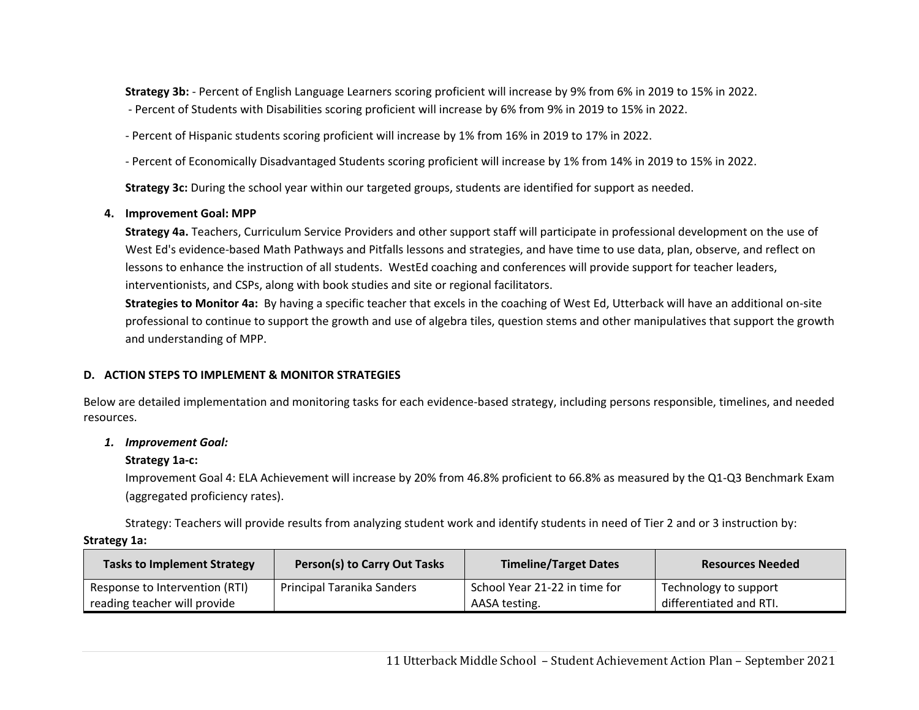**Strategy 3b:** ‐ Percent of English Language Learners scoring proficient will increase by 9% from 6% in 2019 to 15% in 2022. ‐ Percent of Students with Disabilities scoring proficient will increase by 6% from 9% in 2019 to 15% in 2022.

‐ Percent of Hispanic students scoring proficient will increase by 1% from 16% in 2019 to 17% in 2022.

‐ Percent of Economically Disadvantaged Students scoring proficient will increase by 1% from 14% in 2019 to 15% in 2022.

**Strategy 3c:** During the school year within our targeted groups, students are identified for support as needed.

## **4. Improvement Goal: MPP**

**Strategy 4a.** Teachers, Curriculum Service Providers and other support staff will participate in professional development on the use of West Ed's evidence-based Math Pathways and Pitfalls lessons and strategies, and have time to use data, plan, observe, and reflect on lessons to enhance the instruction of all students. WestEd coaching and conferences will provide support for teacher leaders, interventionists, and CSPs, along with book studies and site or regional facilitators.

**Strategies to Monitor 4a:** By having a specific teacher that excels in the coaching of West Ed, Utterback will have an additional on‐site professional to continue to support the growth and use of algebra tiles, question stems and other manipulatives that support the growth and understanding of MPP.

## **D. ACTION STEPS TO IMPLEMENT & MONITOR STRATEGIES**

Below are detailed implementation and monitoring tasks for each evidence‐based strategy, including persons responsible, timelines, and needed resources.

## *1. Improvement Goal:*

## **Strategy 1a‐c:**

Improvement Goal 4: ELA Achievement will increase by 20% from 46.8% proficient to 66.8% as measured by the Q1‐Q3 Benchmark Exam (aggregated proficiency rates).

Strategy: Teachers will provide results from analyzing student work and identify students in need of Tier 2 and or 3 instruction by:

### **Strategy 1a:**

| <b>Tasks to Implement Strategy</b> | <b>Person(s) to Carry Out Tasks</b> | <b>Timeline/Target Dates</b>  | <b>Resources Needed</b> |
|------------------------------------|-------------------------------------|-------------------------------|-------------------------|
| Response to Intervention (RTI)     | Principal Taranika Sanders          | School Year 21-22 in time for | Technology to support   |
| reading teacher will provide       |                                     | AASA testing.                 | differentiated and RTI. |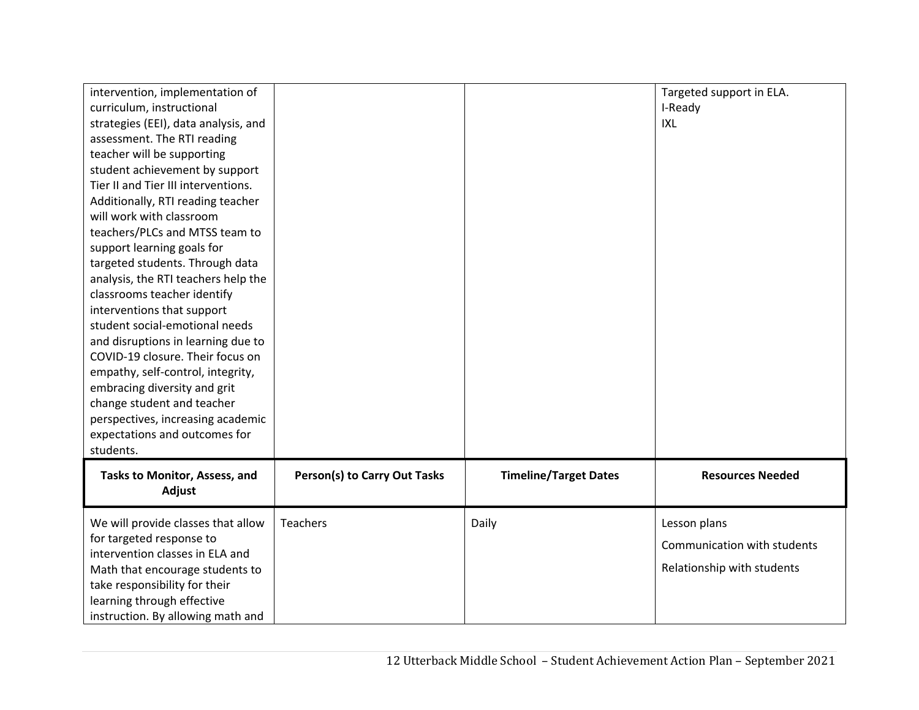| intervention, implementation of<br>curriculum, instructional<br>strategies (EEI), data analysis, and<br>assessment. The RTI reading<br>teacher will be supporting<br>student achievement by support<br>Tier II and Tier III interventions.<br>Additionally, RTI reading teacher<br>will work with classroom<br>teachers/PLCs and MTSS team to<br>support learning goals for<br>targeted students. Through data<br>analysis, the RTI teachers help the<br>classrooms teacher identify<br>interventions that support<br>student social-emotional needs<br>and disruptions in learning due to<br>COVID-19 closure. Their focus on<br>empathy, self-control, integrity,<br>embracing diversity and grit<br>change student and teacher<br>perspectives, increasing academic<br>expectations and outcomes for<br>students. |                                     |                              | Targeted support in ELA.<br>I-Ready<br>IXL                                |
|----------------------------------------------------------------------------------------------------------------------------------------------------------------------------------------------------------------------------------------------------------------------------------------------------------------------------------------------------------------------------------------------------------------------------------------------------------------------------------------------------------------------------------------------------------------------------------------------------------------------------------------------------------------------------------------------------------------------------------------------------------------------------------------------------------------------|-------------------------------------|------------------------------|---------------------------------------------------------------------------|
| Tasks to Monitor, Assess, and<br>Adjust                                                                                                                                                                                                                                                                                                                                                                                                                                                                                                                                                                                                                                                                                                                                                                              | <b>Person(s) to Carry Out Tasks</b> | <b>Timeline/Target Dates</b> | <b>Resources Needed</b>                                                   |
| We will provide classes that allow<br>for targeted response to<br>intervention classes in ELA and<br>Math that encourage students to<br>take responsibility for their<br>learning through effective<br>instruction. By allowing math and                                                                                                                                                                                                                                                                                                                                                                                                                                                                                                                                                                             | <b>Teachers</b>                     | Daily                        | Lesson plans<br>Communication with students<br>Relationship with students |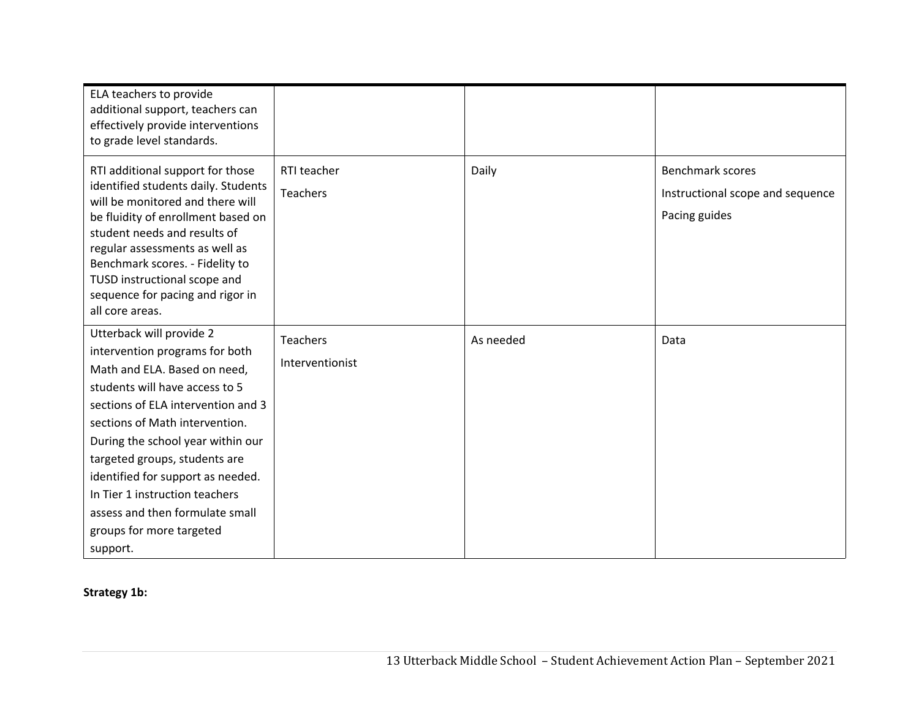| ELA teachers to provide<br>additional support, teachers can<br>effectively provide interventions<br>to grade level standards.                                                                                                                                                                                                                                                                                                |                                    |           |                                                                              |
|------------------------------------------------------------------------------------------------------------------------------------------------------------------------------------------------------------------------------------------------------------------------------------------------------------------------------------------------------------------------------------------------------------------------------|------------------------------------|-----------|------------------------------------------------------------------------------|
| RTI additional support for those<br>identified students daily. Students<br>will be monitored and there will<br>be fluidity of enrollment based on<br>student needs and results of<br>regular assessments as well as<br>Benchmark scores. - Fidelity to<br>TUSD instructional scope and<br>sequence for pacing and rigor in<br>all core areas.                                                                                | RTI teacher<br><b>Teachers</b>     | Daily     | <b>Benchmark scores</b><br>Instructional scope and sequence<br>Pacing guides |
| Utterback will provide 2<br>intervention programs for both<br>Math and ELA. Based on need,<br>students will have access to 5<br>sections of ELA intervention and 3<br>sections of Math intervention.<br>During the school year within our<br>targeted groups, students are<br>identified for support as needed.<br>In Tier 1 instruction teachers<br>assess and then formulate small<br>groups for more targeted<br>support. | <b>Teachers</b><br>Interventionist | As needed | Data                                                                         |

# **Strategy 1b:**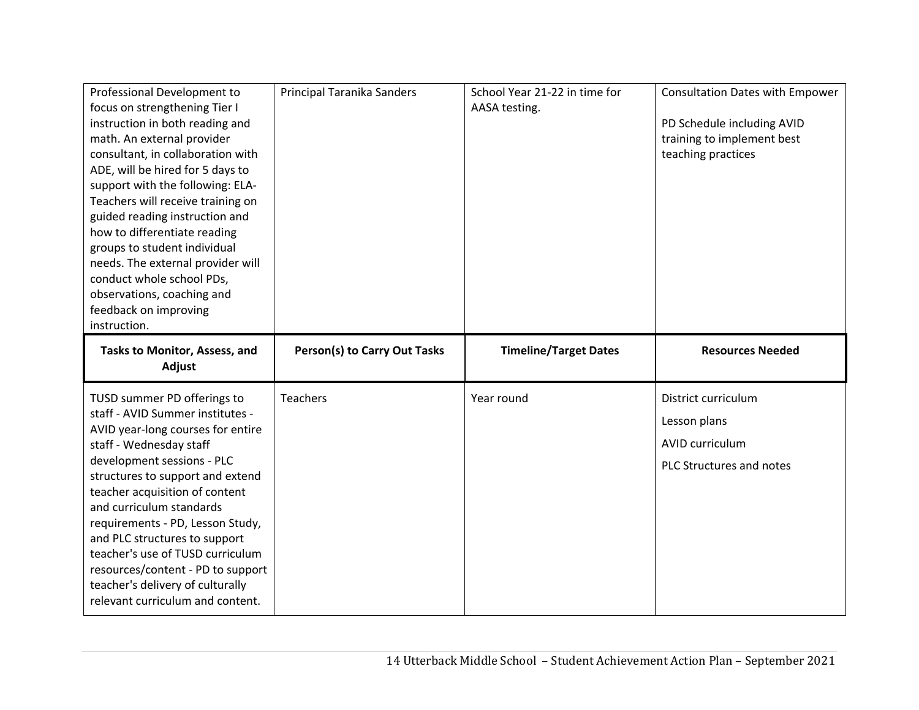| Professional Development to<br>focus on strengthening Tier I<br>instruction in both reading and<br>math. An external provider<br>consultant, in collaboration with<br>ADE, will be hired for 5 days to<br>support with the following: ELA-<br>Teachers will receive training on<br>guided reading instruction and<br>how to differentiate reading<br>groups to student individual<br>needs. The external provider will<br>conduct whole school PDs,<br>observations, coaching and<br>feedback on improving<br>instruction. | Principal Taranika Sanders          | School Year 21-22 in time for<br>AASA testing. | Consultation Dates with Empower<br>PD Schedule including AVID<br>training to implement best<br>teaching practices |
|----------------------------------------------------------------------------------------------------------------------------------------------------------------------------------------------------------------------------------------------------------------------------------------------------------------------------------------------------------------------------------------------------------------------------------------------------------------------------------------------------------------------------|-------------------------------------|------------------------------------------------|-------------------------------------------------------------------------------------------------------------------|
| Tasks to Monitor, Assess, and<br>Adjust                                                                                                                                                                                                                                                                                                                                                                                                                                                                                    | <b>Person(s) to Carry Out Tasks</b> | <b>Timeline/Target Dates</b>                   | <b>Resources Needed</b>                                                                                           |
| TUSD summer PD offerings to<br>staff - AVID Summer institutes -<br>AVID year-long courses for entire<br>staff - Wednesday staff<br>development sessions - PLC<br>structures to support and extend<br>teacher acquisition of content<br>and curriculum standards<br>requirements - PD, Lesson Study,<br>and PLC structures to support<br>teacher's use of TUSD curriculum<br>resources/content - PD to support<br>teacher's delivery of culturally                                                                          | <b>Teachers</b>                     | Year round                                     | District curriculum<br>Lesson plans<br><b>AVID curriculum</b><br>PLC Structures and notes                         |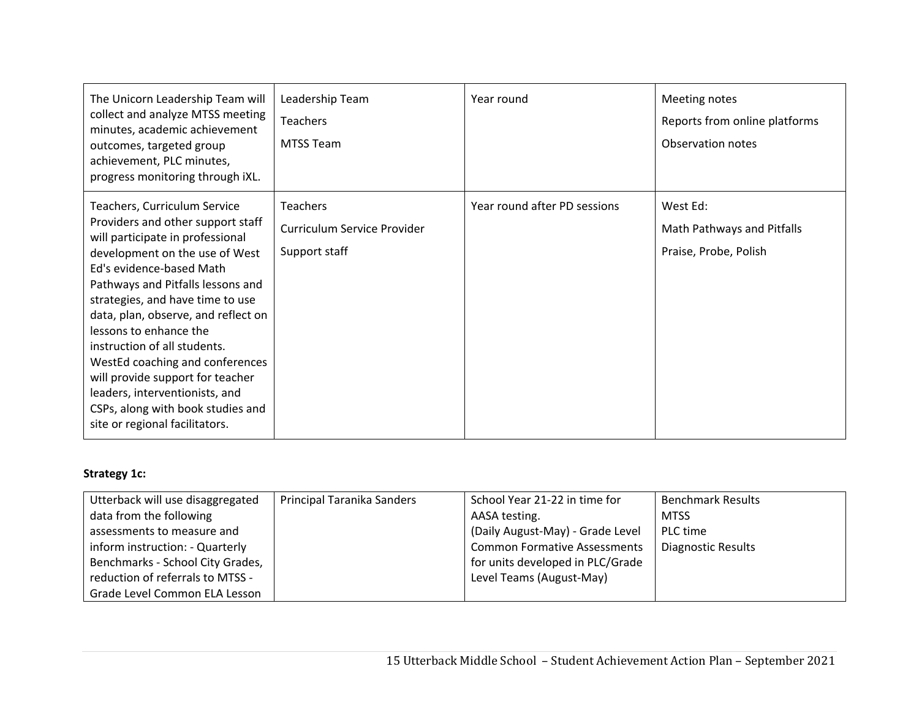| The Unicorn Leadership Team will<br>collect and analyze MTSS meeting<br>minutes, academic achievement<br>outcomes, targeted group<br>achievement, PLC minutes,<br>progress monitoring through iXL.                                                                                                                                                                                                                                                                                                                            | Leadership Team<br><b>Teachers</b><br><b>MTSS Team</b>          | Year round                   | Meeting notes<br>Reports from online platforms<br>Observation notes |
|-------------------------------------------------------------------------------------------------------------------------------------------------------------------------------------------------------------------------------------------------------------------------------------------------------------------------------------------------------------------------------------------------------------------------------------------------------------------------------------------------------------------------------|-----------------------------------------------------------------|------------------------------|---------------------------------------------------------------------|
| Teachers, Curriculum Service<br>Providers and other support staff<br>will participate in professional<br>development on the use of West<br>Ed's evidence-based Math<br>Pathways and Pitfalls lessons and<br>strategies, and have time to use<br>data, plan, observe, and reflect on<br>lessons to enhance the<br>instruction of all students.<br>WestEd coaching and conferences<br>will provide support for teacher<br>leaders, interventionists, and<br>CSPs, along with book studies and<br>site or regional facilitators. | <b>Teachers</b><br>Curriculum Service Provider<br>Support staff | Year round after PD sessions | West Ed:<br>Math Pathways and Pitfalls<br>Praise, Probe, Polish     |

# **Strategy 1c:**

| Utterback will use disaggregated | Principal Taranika Sanders | School Year 21-22 in time for       | <b>Benchmark Results</b> |
|----------------------------------|----------------------------|-------------------------------------|--------------------------|
| data from the following          |                            | AASA testing.                       | <b>MTSS</b>              |
| assessments to measure and       |                            | (Daily August-May) - Grade Level    | PLC time                 |
| inform instruction: - Quarterly  |                            | <b>Common Formative Assessments</b> | Diagnostic Results       |
| Benchmarks - School City Grades, |                            | for units developed in PLC/Grade    |                          |
| reduction of referrals to MTSS - |                            | Level Teams (August-May)            |                          |
| Grade Level Common ELA Lesson    |                            |                                     |                          |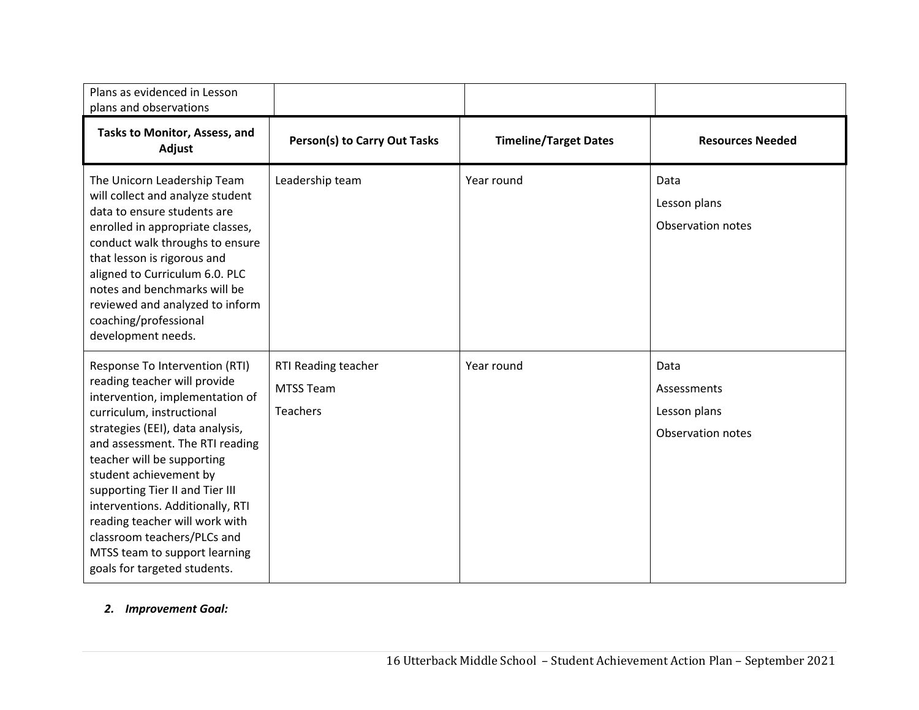| Plans as evidenced in Lesson<br>plans and observations                                                                                                                                                                                                                                                                                                                                                                                                                 |                                                     |                              |                                                          |
|------------------------------------------------------------------------------------------------------------------------------------------------------------------------------------------------------------------------------------------------------------------------------------------------------------------------------------------------------------------------------------------------------------------------------------------------------------------------|-----------------------------------------------------|------------------------------|----------------------------------------------------------|
| Tasks to Monitor, Assess, and<br>Adjust                                                                                                                                                                                                                                                                                                                                                                                                                                | <b>Person(s) to Carry Out Tasks</b>                 | <b>Timeline/Target Dates</b> | <b>Resources Needed</b>                                  |
| The Unicorn Leadership Team<br>will collect and analyze student<br>data to ensure students are<br>enrolled in appropriate classes,<br>conduct walk throughs to ensure<br>that lesson is rigorous and<br>aligned to Curriculum 6.0. PLC<br>notes and benchmarks will be<br>reviewed and analyzed to inform<br>coaching/professional<br>development needs.                                                                                                               | Leadership team                                     | Year round                   | Data<br>Lesson plans<br>Observation notes                |
| Response To Intervention (RTI)<br>reading teacher will provide<br>intervention, implementation of<br>curriculum, instructional<br>strategies (EEI), data analysis,<br>and assessment. The RTI reading<br>teacher will be supporting<br>student achievement by<br>supporting Tier II and Tier III<br>interventions. Additionally, RTI<br>reading teacher will work with<br>classroom teachers/PLCs and<br>MTSS team to support learning<br>goals for targeted students. | RTI Reading teacher<br><b>MTSS Team</b><br>Teachers | Year round                   | Data<br>Assessments<br>Lesson plans<br>Observation notes |

### *2. Improvement Goal:*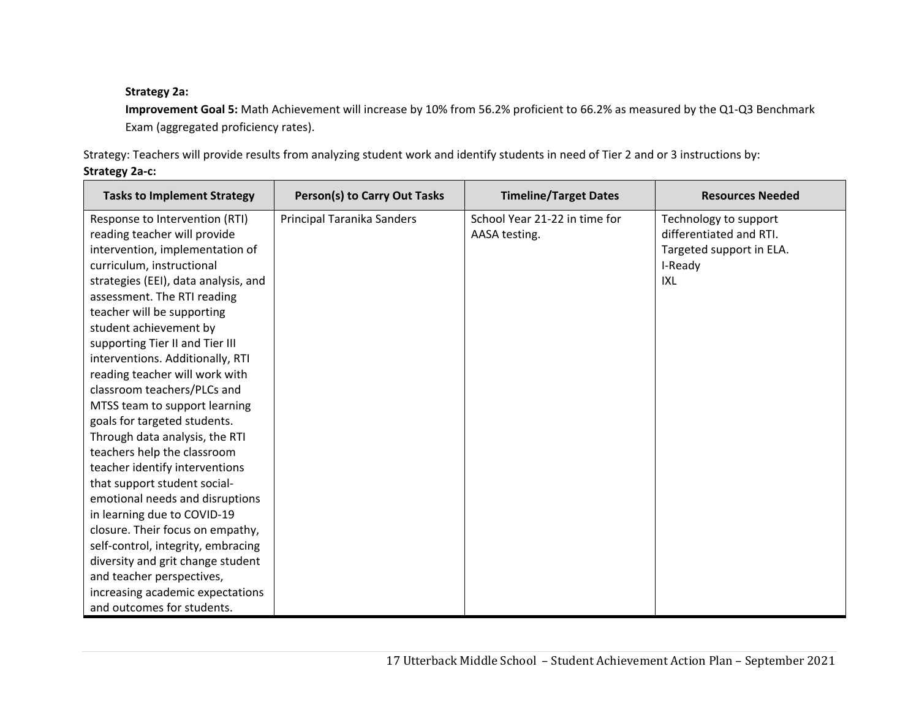# **Strategy 2a:**

**Improvement Goal 5:** Math Achievement will increase by 10% from 56.2% proficient to 66.2% as measured by the Q1‐Q3 Benchmark Exam (aggregated proficiency rates).

Strategy: Teachers will provide results from analyzing student work and identify students in need of Tier 2 and or 3 instructions by:

## **Strategy 2a‐c:**

| <b>Tasks to Implement Strategy</b>   | <b>Person(s) to Carry Out Tasks</b> | <b>Timeline/Target Dates</b>  | <b>Resources Needed</b>  |
|--------------------------------------|-------------------------------------|-------------------------------|--------------------------|
| Response to Intervention (RTI)       | Principal Taranika Sanders          | School Year 21-22 in time for | Technology to support    |
| reading teacher will provide         |                                     | AASA testing.                 | differentiated and RTI.  |
| intervention, implementation of      |                                     |                               | Targeted support in ELA. |
| curriculum, instructional            |                                     |                               | I-Ready                  |
| strategies (EEI), data analysis, and |                                     |                               | IXL                      |
| assessment. The RTI reading          |                                     |                               |                          |
| teacher will be supporting           |                                     |                               |                          |
| student achievement by               |                                     |                               |                          |
| supporting Tier II and Tier III      |                                     |                               |                          |
| interventions. Additionally, RTI     |                                     |                               |                          |
| reading teacher will work with       |                                     |                               |                          |
| classroom teachers/PLCs and          |                                     |                               |                          |
| MTSS team to support learning        |                                     |                               |                          |
| goals for targeted students.         |                                     |                               |                          |
| Through data analysis, the RTI       |                                     |                               |                          |
| teachers help the classroom          |                                     |                               |                          |
| teacher identify interventions       |                                     |                               |                          |
| that support student social-         |                                     |                               |                          |
| emotional needs and disruptions      |                                     |                               |                          |
| in learning due to COVID-19          |                                     |                               |                          |
| closure. Their focus on empathy,     |                                     |                               |                          |
| self-control, integrity, embracing   |                                     |                               |                          |
| diversity and grit change student    |                                     |                               |                          |
| and teacher perspectives,            |                                     |                               |                          |
| increasing academic expectations     |                                     |                               |                          |
| and outcomes for students.           |                                     |                               |                          |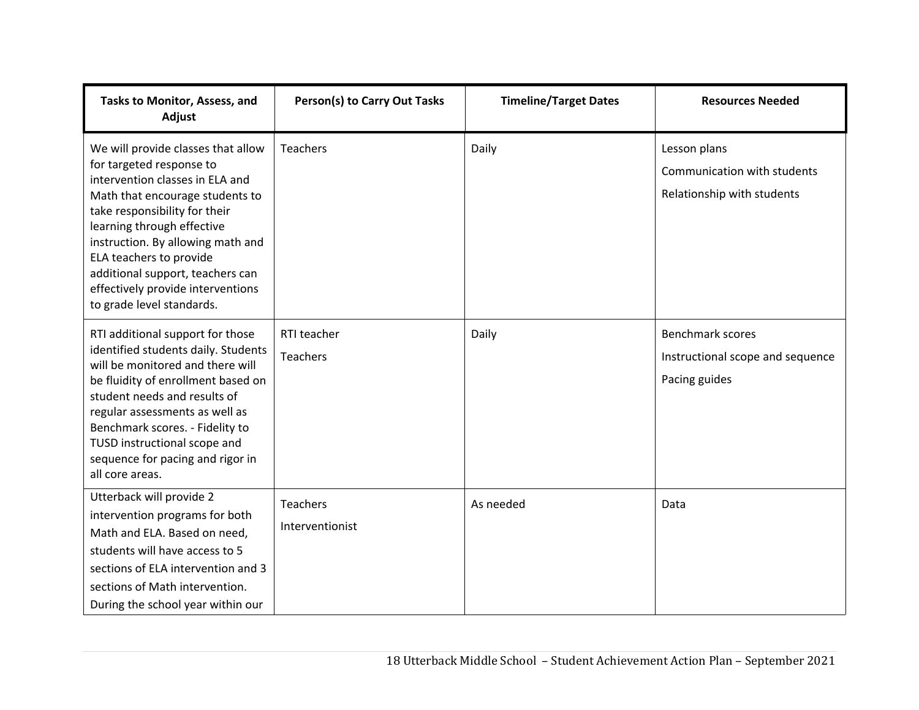| Tasks to Monitor, Assess, and<br>Adjust                                                                                                                                                                                                                                                                                                                                   | Person(s) to Carry Out Tasks       | <b>Timeline/Target Dates</b> | <b>Resources Needed</b>                                                      |
|---------------------------------------------------------------------------------------------------------------------------------------------------------------------------------------------------------------------------------------------------------------------------------------------------------------------------------------------------------------------------|------------------------------------|------------------------------|------------------------------------------------------------------------------|
| We will provide classes that allow<br>for targeted response to<br>intervention classes in ELA and<br>Math that encourage students to<br>take responsibility for their<br>learning through effective<br>instruction. By allowing math and<br>ELA teachers to provide<br>additional support, teachers can<br>effectively provide interventions<br>to grade level standards. | <b>Teachers</b>                    | Daily                        | Lesson plans<br>Communication with students<br>Relationship with students    |
| RTI additional support for those<br>identified students daily. Students<br>will be monitored and there will<br>be fluidity of enrollment based on<br>student needs and results of<br>regular assessments as well as<br>Benchmark scores. - Fidelity to<br>TUSD instructional scope and<br>sequence for pacing and rigor in<br>all core areas.                             | RTI teacher<br><b>Teachers</b>     | Daily                        | <b>Benchmark scores</b><br>Instructional scope and sequence<br>Pacing guides |
| Utterback will provide 2<br>intervention programs for both<br>Math and ELA. Based on need,<br>students will have access to 5<br>sections of ELA intervention and 3<br>sections of Math intervention.<br>During the school year within our                                                                                                                                 | <b>Teachers</b><br>Interventionist | As needed                    | Data                                                                         |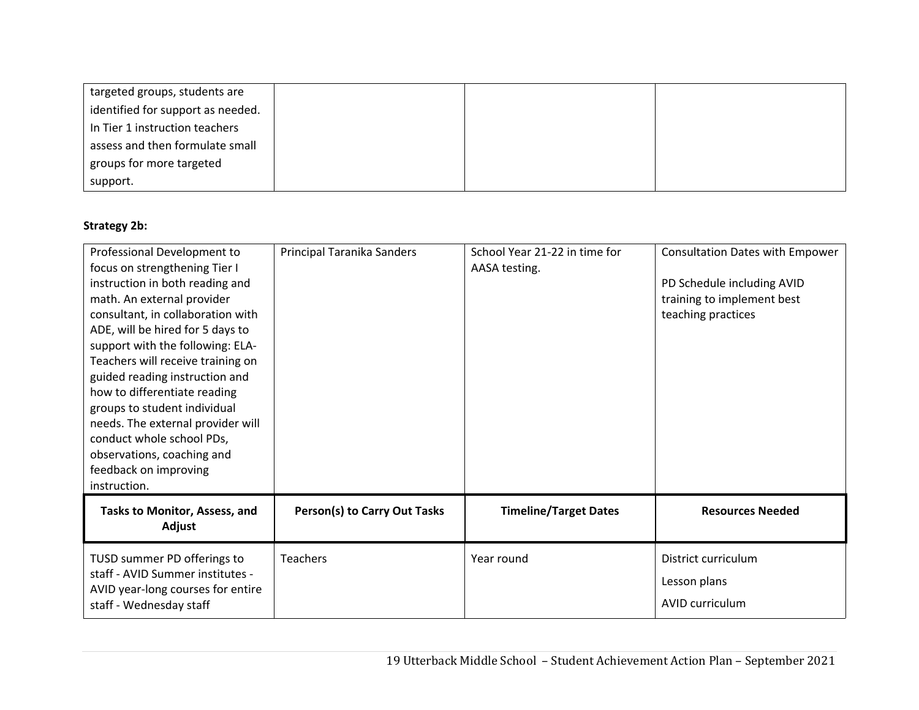| targeted groups, students are     |  |  |
|-----------------------------------|--|--|
| identified for support as needed. |  |  |
| In Tier 1 instruction teachers    |  |  |
| assess and then formulate small   |  |  |
| groups for more targeted          |  |  |
| support.                          |  |  |

# **Strategy 2b:**

| Professional Development to<br>focus on strengthening Tier I<br>instruction in both reading and<br>math. An external provider<br>consultant, in collaboration with<br>ADE, will be hired for 5 days to<br>support with the following: ELA-<br>Teachers will receive training on<br>guided reading instruction and<br>how to differentiate reading<br>groups to student individual<br>needs. The external provider will<br>conduct whole school PDs,<br>observations, coaching and<br>feedback on improving<br>instruction. | Principal Taranika Sanders   | School Year 21-22 in time for<br>AASA testing. | <b>Consultation Dates with Empower</b><br>PD Schedule including AVID<br>training to implement best<br>teaching practices |
|----------------------------------------------------------------------------------------------------------------------------------------------------------------------------------------------------------------------------------------------------------------------------------------------------------------------------------------------------------------------------------------------------------------------------------------------------------------------------------------------------------------------------|------------------------------|------------------------------------------------|--------------------------------------------------------------------------------------------------------------------------|
| Tasks to Monitor, Assess, and<br>Adjust                                                                                                                                                                                                                                                                                                                                                                                                                                                                                    | Person(s) to Carry Out Tasks | <b>Timeline/Target Dates</b>                   | <b>Resources Needed</b>                                                                                                  |
| TUSD summer PD offerings to<br>staff - AVID Summer institutes -<br>AVID year-long courses for entire<br>staff - Wednesday staff                                                                                                                                                                                                                                                                                                                                                                                            | <b>Teachers</b>              | Year round                                     | District curriculum<br>Lesson plans<br><b>AVID curriculum</b>                                                            |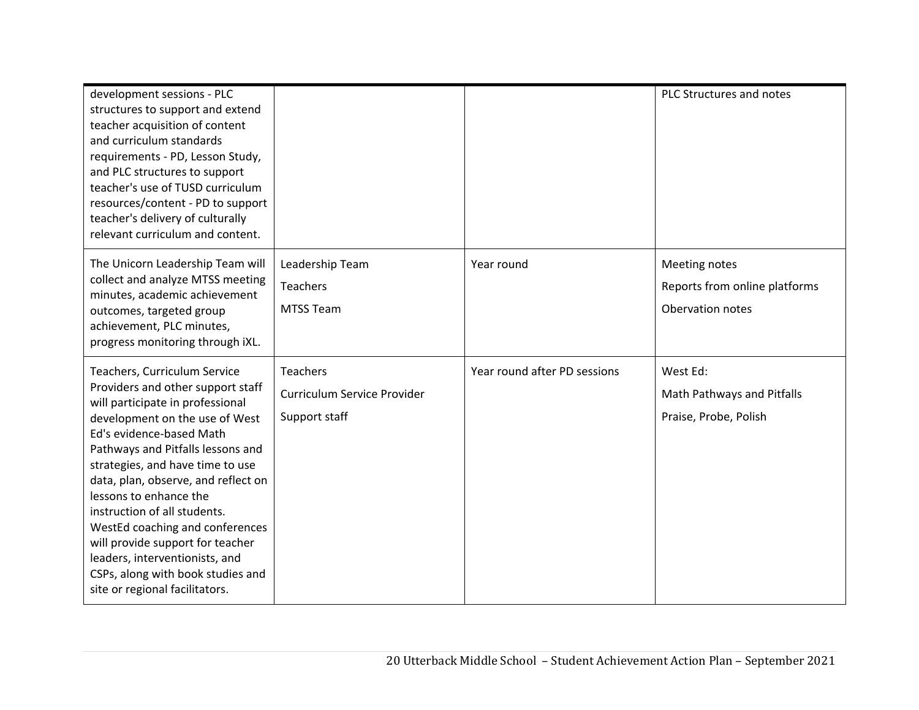| development sessions - PLC<br>structures to support and extend<br>teacher acquisition of content<br>and curriculum standards<br>requirements - PD, Lesson Study,<br>and PLC structures to support<br>teacher's use of TUSD curriculum<br>resources/content - PD to support<br>teacher's delivery of culturally<br>relevant curriculum and content.                                                                                                                                                                            |                                                                 |                              | PLC Structures and notes                                           |
|-------------------------------------------------------------------------------------------------------------------------------------------------------------------------------------------------------------------------------------------------------------------------------------------------------------------------------------------------------------------------------------------------------------------------------------------------------------------------------------------------------------------------------|-----------------------------------------------------------------|------------------------------|--------------------------------------------------------------------|
| The Unicorn Leadership Team will<br>collect and analyze MTSS meeting<br>minutes, academic achievement<br>outcomes, targeted group<br>achievement, PLC minutes,<br>progress monitoring through iXL.                                                                                                                                                                                                                                                                                                                            | Leadership Team<br><b>Teachers</b><br><b>MTSS Team</b>          | Year round                   | Meeting notes<br>Reports from online platforms<br>Obervation notes |
| Teachers, Curriculum Service<br>Providers and other support staff<br>will participate in professional<br>development on the use of West<br>Ed's evidence-based Math<br>Pathways and Pitfalls lessons and<br>strategies, and have time to use<br>data, plan, observe, and reflect on<br>lessons to enhance the<br>instruction of all students.<br>WestEd coaching and conferences<br>will provide support for teacher<br>leaders, interventionists, and<br>CSPs, along with book studies and<br>site or regional facilitators. | <b>Teachers</b><br>Curriculum Service Provider<br>Support staff | Year round after PD sessions | West Ed:<br>Math Pathways and Pitfalls<br>Praise, Probe, Polish    |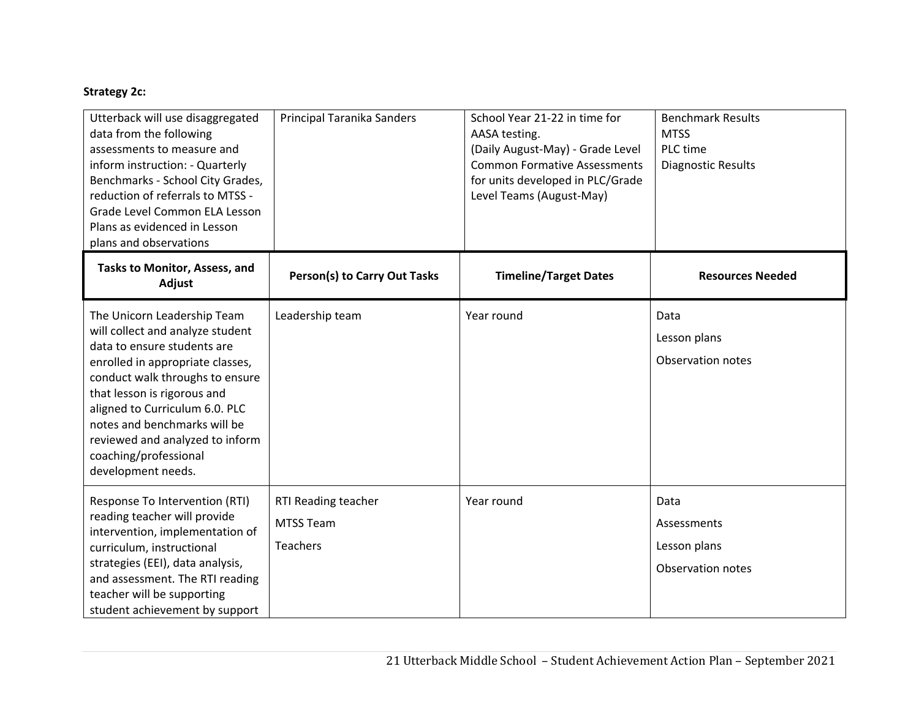# **Strategy 2c:**

| Utterback will use disaggregated<br>data from the following<br>assessments to measure and<br>inform instruction: - Quarterly<br>Benchmarks - School City Grades,<br>reduction of referrals to MTSS -<br>Grade Level Common ELA Lesson<br>Plans as evidenced in Lesson<br>plans and observations                                                          | Principal Taranika Sanders                                 | School Year 21-22 in time for<br>AASA testing.<br>(Daily August-May) - Grade Level<br><b>Common Formative Assessments</b><br>for units developed in PLC/Grade<br>Level Teams (August-May) | <b>Benchmark Results</b><br><b>MTSS</b><br>PLC time<br>Diagnostic Results |
|----------------------------------------------------------------------------------------------------------------------------------------------------------------------------------------------------------------------------------------------------------------------------------------------------------------------------------------------------------|------------------------------------------------------------|-------------------------------------------------------------------------------------------------------------------------------------------------------------------------------------------|---------------------------------------------------------------------------|
| Tasks to Monitor, Assess, and<br>Adjust                                                                                                                                                                                                                                                                                                                  | <b>Person(s) to Carry Out Tasks</b>                        | <b>Timeline/Target Dates</b>                                                                                                                                                              | <b>Resources Needed</b>                                                   |
| The Unicorn Leadership Team<br>will collect and analyze student<br>data to ensure students are<br>enrolled in appropriate classes,<br>conduct walk throughs to ensure<br>that lesson is rigorous and<br>aligned to Curriculum 6.0. PLC<br>notes and benchmarks will be<br>reviewed and analyzed to inform<br>coaching/professional<br>development needs. | Leadership team                                            | Year round                                                                                                                                                                                | Data<br>Lesson plans<br>Observation notes                                 |
| Response To Intervention (RTI)<br>reading teacher will provide<br>intervention, implementation of<br>curriculum, instructional<br>strategies (EEI), data analysis,<br>and assessment. The RTI reading<br>teacher will be supporting<br>student achievement by support                                                                                    | RTI Reading teacher<br><b>MTSS Team</b><br><b>Teachers</b> | Year round                                                                                                                                                                                | Data<br>Assessments<br>Lesson plans<br>Observation notes                  |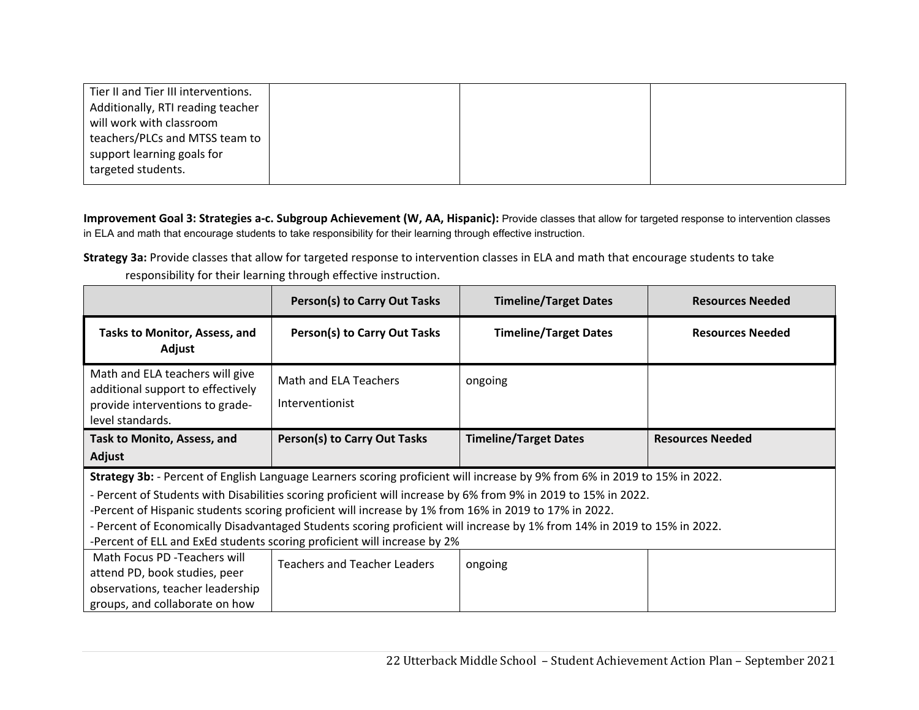| Tier II and Tier III interventions. |  |  |
|-------------------------------------|--|--|
| Additionally, RTI reading teacher   |  |  |
| will work with classroom            |  |  |
| teachers/PLCs and MTSS team to      |  |  |
| support learning goals for          |  |  |
| targeted students.                  |  |  |
|                                     |  |  |

Improvement Goal 3: Strategies a-c. Subgroup Achievement (W, AA, Hispanic): Provide classes that allow for targeted response to intervention classes in ELA and math that encourage students to take responsibility for their learning through effective instruction.

**Strategy 3a:** Provide classes that allow for targeted response to intervention classes in ELA and math that encourage students to take

responsibility for their learning through effective instruction.

|                                                                                                                             | Person(s) to Carry Out Tasks                                                                                   | <b>Timeline/Target Dates</b> | <b>Resources Needed</b> |  |
|-----------------------------------------------------------------------------------------------------------------------------|----------------------------------------------------------------------------------------------------------------|------------------------------|-------------------------|--|
| <b>Tasks to Monitor, Assess, and</b><br>Adjust                                                                              | Person(s) to Carry Out Tasks                                                                                   | <b>Timeline/Target Dates</b> | <b>Resources Needed</b> |  |
| Math and ELA teachers will give<br>additional support to effectively<br>provide interventions to grade-<br>level standards. | Math and ELA Teachers<br>Interventionist                                                                       | ongoing                      |                         |  |
| Task to Monito, Assess, and                                                                                                 | <b>Person(s) to Carry Out Tasks</b>                                                                            | <b>Timeline/Target Dates</b> | <b>Resources Needed</b> |  |
| Adjust                                                                                                                      |                                                                                                                |                              |                         |  |
| Strategy 3b: - Percent of English Language Learners scoring proficient will increase by 9% from 6% in 2019 to 15% in 2022.  |                                                                                                                |                              |                         |  |
|                                                                                                                             | - Percent of Students with Disabilities scoring proficient will increase by 6% from 9% in 2019 to 15% in 2022. |                              |                         |  |
|                                                                                                                             | -Percent of Hispanic students scoring proficient will increase by 1% from 16% in 2019 to 17% in 2022.          |                              |                         |  |
| - Percent of Economically Disadvantaged Students scoring proficient will increase by 1% from 14% in 2019 to 15% in 2022.    |                                                                                                                |                              |                         |  |
| -Percent of ELL and ExEd students scoring proficient will increase by 2%                                                    |                                                                                                                |                              |                         |  |
| Math Focus PD -Teachers will                                                                                                | <b>Teachers and Teacher Leaders</b>                                                                            | ongoing                      |                         |  |
| attend PD, book studies, peer                                                                                               |                                                                                                                |                              |                         |  |
| observations, teacher leadership                                                                                            |                                                                                                                |                              |                         |  |
| groups, and collaborate on how                                                                                              |                                                                                                                |                              |                         |  |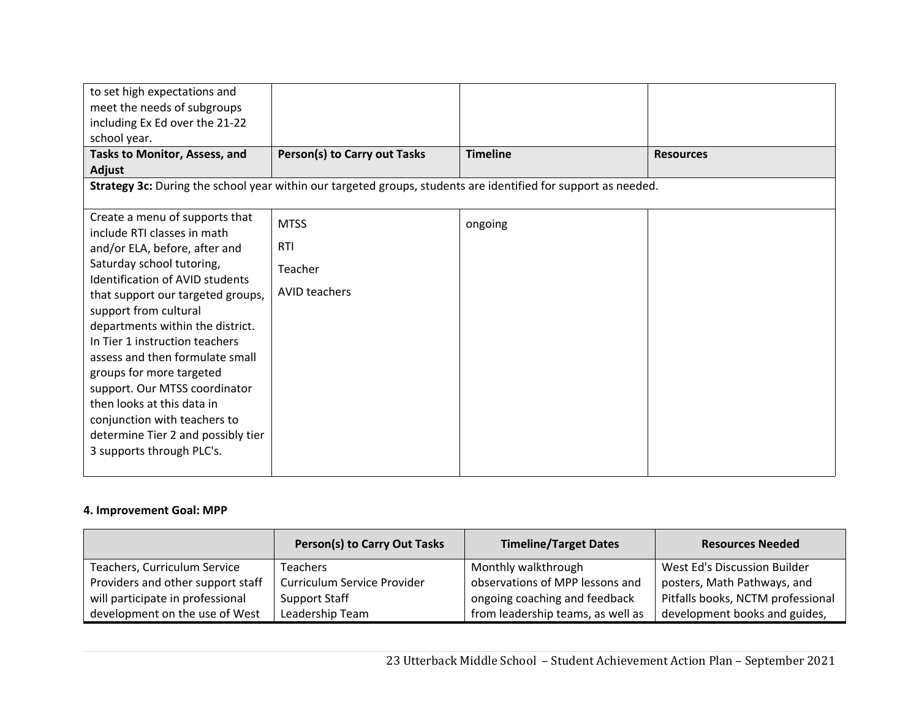| to set high expectations and<br>meet the needs of subgroups<br>including Ex Ed over the 21-22<br>school year.                                                                                                                                                                                                                                                                                                                                                                                                                              |                                                              |                                                                                                                |                  |
|--------------------------------------------------------------------------------------------------------------------------------------------------------------------------------------------------------------------------------------------------------------------------------------------------------------------------------------------------------------------------------------------------------------------------------------------------------------------------------------------------------------------------------------------|--------------------------------------------------------------|----------------------------------------------------------------------------------------------------------------|------------------|
| Tasks to Monitor, Assess, and<br>Adjust                                                                                                                                                                                                                                                                                                                                                                                                                                                                                                    | Person(s) to Carry out Tasks                                 | <b>Timeline</b>                                                                                                | <b>Resources</b> |
|                                                                                                                                                                                                                                                                                                                                                                                                                                                                                                                                            |                                                              | Strategy 3c: During the school year within our targeted groups, students are identified for support as needed. |                  |
| Create a menu of supports that<br>include RTI classes in math<br>and/or ELA, before, after and<br>Saturday school tutoring,<br><b>Identification of AVID students</b><br>that support our targeted groups,<br>support from cultural<br>departments within the district.<br>In Tier 1 instruction teachers<br>assess and then formulate small<br>groups for more targeted<br>support. Our MTSS coordinator<br>then looks at this data in<br>conjunction with teachers to<br>determine Tier 2 and possibly tier<br>3 supports through PLC's. | <b>MTSS</b><br><b>RTI</b><br>Teacher<br><b>AVID teachers</b> | ongoing                                                                                                        |                  |

## **4. Improvement Goal: MPP**

|                                   | <b>Person(s) to Carry Out Tasks</b> | <b>Timeline/Target Dates</b>      | <b>Resources Needed</b>           |
|-----------------------------------|-------------------------------------|-----------------------------------|-----------------------------------|
| Teachers, Curriculum Service      | <b>Teachers</b>                     | Monthly walkthrough               | West Ed's Discussion Builder      |
| Providers and other support staff | Curriculum Service Provider         | observations of MPP lessons and   | posters, Math Pathways, and       |
| will participate in professional  | Support Staff                       | ongoing coaching and feedback     | Pitfalls books, NCTM professional |
| development on the use of West    | Leadership Team                     | from leadership teams, as well as | development books and guides,     |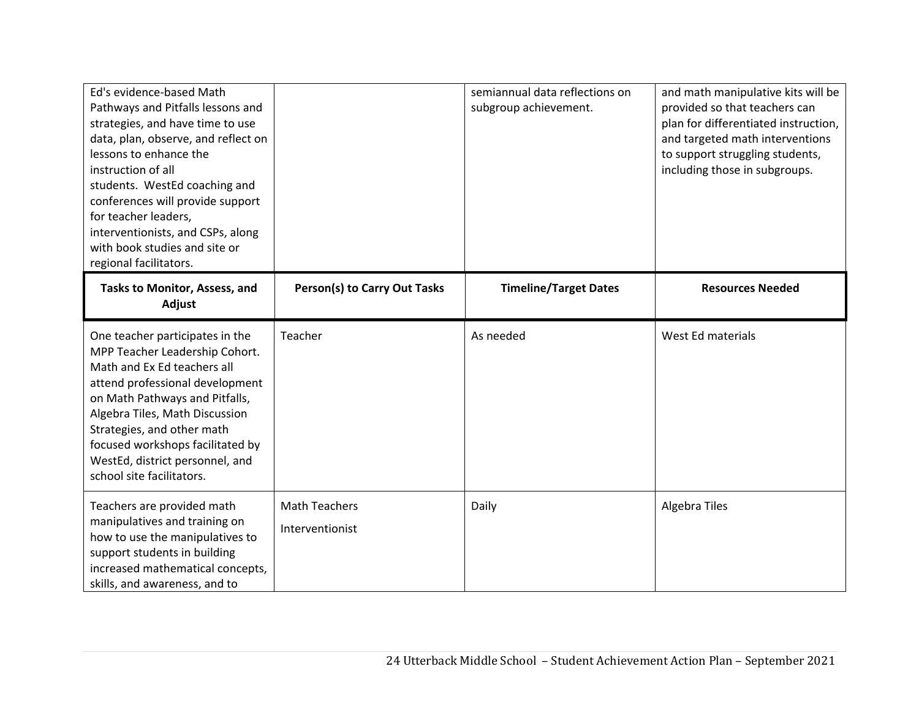| Ed's evidence-based Math<br>Pathways and Pitfalls lessons and<br>strategies, and have time to use<br>data, plan, observe, and reflect on<br>lessons to enhance the<br>instruction of all<br>students. WestEd coaching and<br>conferences will provide support<br>for teacher leaders,<br>interventionists, and CSPs, along<br>with book studies and site or<br>regional facilitators. |                                     | semiannual data reflections on<br>subgroup achievement. | and math manipulative kits will be<br>provided so that teachers can<br>plan for differentiated instruction,<br>and targeted math interventions<br>to support struggling students,<br>including those in subgroups. |
|---------------------------------------------------------------------------------------------------------------------------------------------------------------------------------------------------------------------------------------------------------------------------------------------------------------------------------------------------------------------------------------|-------------------------------------|---------------------------------------------------------|--------------------------------------------------------------------------------------------------------------------------------------------------------------------------------------------------------------------|
| Tasks to Monitor, Assess, and<br>Adjust                                                                                                                                                                                                                                                                                                                                               | <b>Person(s) to Carry Out Tasks</b> | <b>Timeline/Target Dates</b>                            | <b>Resources Needed</b>                                                                                                                                                                                            |
| One teacher participates in the<br>MPP Teacher Leadership Cohort.<br>Math and Ex Ed teachers all<br>attend professional development<br>on Math Pathways and Pitfalls,<br>Algebra Tiles, Math Discussion<br>Strategies, and other math<br>focused workshops facilitated by<br>WestEd, district personnel, and<br>school site facilitators.                                             | Teacher                             | As needed                                               | West Ed materials                                                                                                                                                                                                  |
| Teachers are provided math<br>manipulatives and training on<br>how to use the manipulatives to<br>support students in building<br>increased mathematical concepts,<br>skills, and awareness, and to                                                                                                                                                                                   | Math Teachers<br>Interventionist    | Daily                                                   | <b>Algebra Tiles</b>                                                                                                                                                                                               |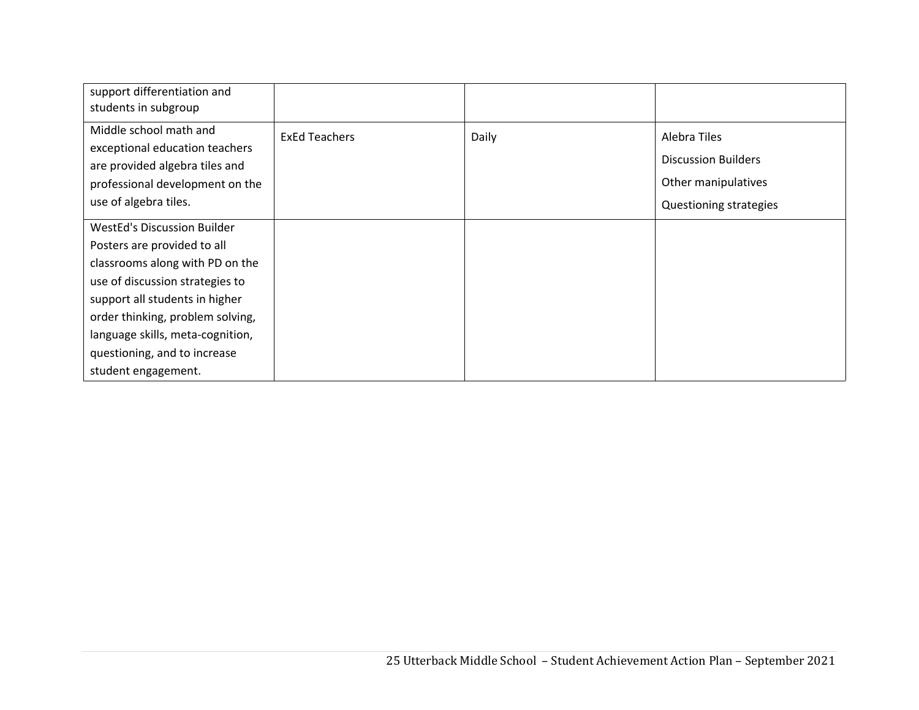| support differentiation and<br>students in subgroup                                                                                                                                                                                                                                                      |                      |       |                                                                                             |
|----------------------------------------------------------------------------------------------------------------------------------------------------------------------------------------------------------------------------------------------------------------------------------------------------------|----------------------|-------|---------------------------------------------------------------------------------------------|
| Middle school math and<br>exceptional education teachers<br>are provided algebra tiles and<br>professional development on the<br>use of algebra tiles.                                                                                                                                                   | <b>ExEd Teachers</b> | Daily | Alebra Tiles<br><b>Discussion Builders</b><br>Other manipulatives<br>Questioning strategies |
| <b>WestEd's Discussion Builder</b><br>Posters are provided to all<br>classrooms along with PD on the<br>use of discussion strategies to<br>support all students in higher<br>order thinking, problem solving,<br>language skills, meta-cognition,<br>questioning, and to increase<br>student engagement. |                      |       |                                                                                             |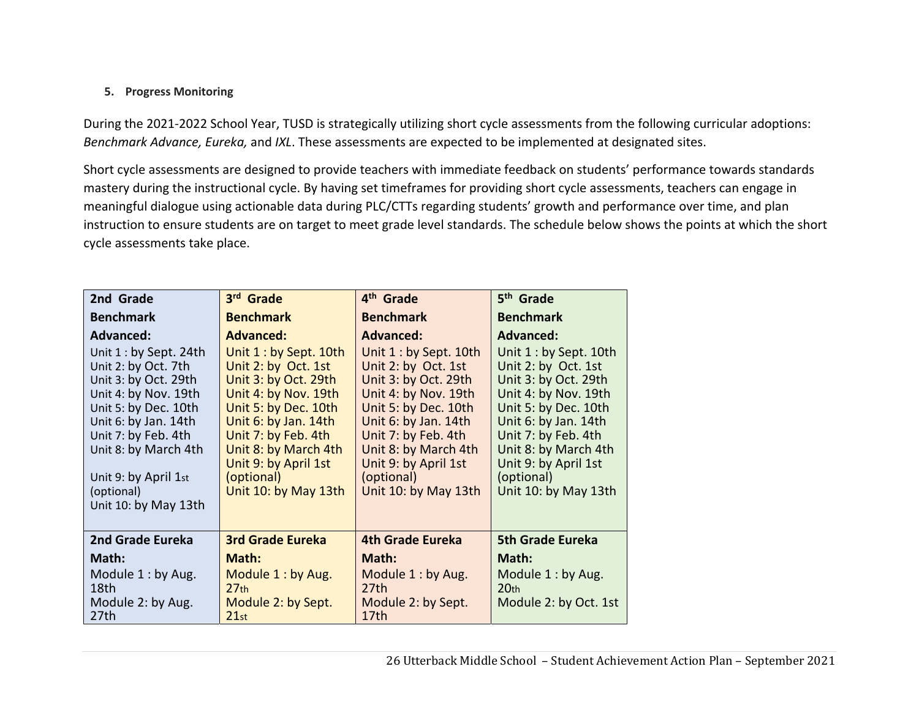## **5. Progress Monitoring**

During the 2021-2022 School Year, TUSD is strategically utilizing short cycle assessments from the following curricular adoptions: *Benchmark Advance, Eureka,* and *IXL*. These assessments are expected to be implemented at designated sites.

Short cycle assessments are designed to provide teachers with immediate feedback on students' performance towards standards mastery during the instructional cycle. By having set timeframes for providing short cycle assessments, teachers can engage in meaningful dialogue using actionable data during PLC/CTTs regarding students' growth and performance over time, and plan instruction to ensure students are on target to meet grade level standards. The schedule below shows the points at which the short cycle assessments take place.

| 2nd Grade                                                                                                                                                                                                                                                   | 3rd Grade                                                                                                                                                                                                                                                  | 4 <sup>th</sup> Grade                                                                                                                                                                                                                                      | 5 <sup>th</sup> Grade                                                                                                                                                                                                                                      |
|-------------------------------------------------------------------------------------------------------------------------------------------------------------------------------------------------------------------------------------------------------------|------------------------------------------------------------------------------------------------------------------------------------------------------------------------------------------------------------------------------------------------------------|------------------------------------------------------------------------------------------------------------------------------------------------------------------------------------------------------------------------------------------------------------|------------------------------------------------------------------------------------------------------------------------------------------------------------------------------------------------------------------------------------------------------------|
| <b>Benchmark</b>                                                                                                                                                                                                                                            | <b>Benchmark</b>                                                                                                                                                                                                                                           | <b>Benchmark</b>                                                                                                                                                                                                                                           | <b>Benchmark</b>                                                                                                                                                                                                                                           |
| <b>Advanced:</b>                                                                                                                                                                                                                                            | <b>Advanced:</b>                                                                                                                                                                                                                                           | <b>Advanced:</b>                                                                                                                                                                                                                                           | <b>Advanced:</b>                                                                                                                                                                                                                                           |
| Unit $1:$ by Sept. 24th<br>Unit 2: by Oct. 7th<br>Unit 3: by Oct. 29th<br>Unit 4: by Nov. 19th<br>Unit 5: by Dec. 10th<br>Unit 6: by Jan. 14th<br>Unit 7: by Feb. 4th<br>Unit 8: by March 4th<br>Unit 9: by April 1st<br>(optional)<br>Unit 10: by May 13th | Unit 1 : by Sept. 10th<br>Unit 2: by Oct. 1st<br>Unit 3: by Oct. 29th<br>Unit 4: by Nov. 19th<br>Unit 5: by Dec. 10th<br>Unit 6: by Jan. 14th<br>Unit 7: by Feb. 4th<br>Unit 8: by March 4th<br>Unit 9: by April 1st<br>(optional)<br>Unit 10: by May 13th | Unit 1 : by Sept. 10th<br>Unit 2: by Oct. 1st<br>Unit 3: by Oct. 29th<br>Unit 4: by Nov. 19th<br>Unit 5: by Dec. 10th<br>Unit 6: by Jan. 14th<br>Unit 7: by Feb. 4th<br>Unit 8: by March 4th<br>Unit 9: by April 1st<br>(optional)<br>Unit 10: by May 13th | Unit 1 : by Sept. 10th<br>Unit 2: by Oct. 1st<br>Unit 3: by Oct. 29th<br>Unit 4: by Nov. 19th<br>Unit 5: by Dec. 10th<br>Unit 6: by Jan. 14th<br>Unit 7: by Feb. 4th<br>Unit 8: by March 4th<br>Unit 9: by April 1st<br>(optional)<br>Unit 10: by May 13th |
| 2nd Grade Eureka                                                                                                                                                                                                                                            | <b>3rd Grade Eureka</b>                                                                                                                                                                                                                                    | <b>4th Grade Eureka</b>                                                                                                                                                                                                                                    | <b>5th Grade Eureka</b>                                                                                                                                                                                                                                    |
| Math:                                                                                                                                                                                                                                                       | Math:                                                                                                                                                                                                                                                      | Math:                                                                                                                                                                                                                                                      | Math:                                                                                                                                                                                                                                                      |
| Module 1: by Aug.<br>18th<br>Module 2: by Aug.<br>27th                                                                                                                                                                                                      | Module 1: by Aug.<br>27 <sub>th</sub><br>Module 2: by Sept.<br>21st                                                                                                                                                                                        | Module 1: by Aug.<br>27th<br>Module 2: by Sept.<br>17 <sub>th</sub>                                                                                                                                                                                        | Module 1: by Aug.<br>20 <sub>th</sub><br>Module 2: by Oct. 1st                                                                                                                                                                                             |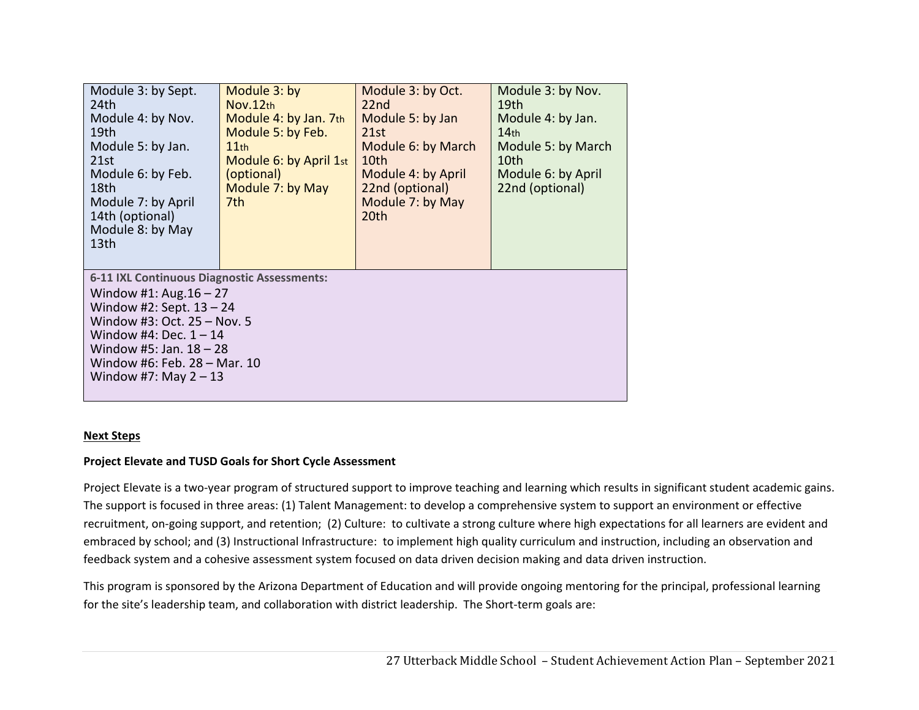| Module 3: by Sept.<br>24th<br>Module 4: by Nov.<br>19th<br>Module 5: by Jan.<br>21st<br>Module 6: by Feb.<br>18th<br>Module 7: by April<br>14th (optional)<br>Module 8: by May<br>13th                                                                    | Module 3: by<br>Nov.12th<br>Module 4: by Jan. 7th<br>Module 5: by Feb.<br>$11$ th<br>Module 6: by April 1st<br>(optional)<br>Module 7: by May<br>7th | Module 3: by Oct.<br>22nd<br>Module 5: by Jan<br>21st<br>Module 6: by March<br>10th<br>Module 4: by April<br>22nd (optional)<br>Module 7: by May<br>20th | Module 3: by Nov.<br>19th<br>Module 4: by Jan.<br>14 <sub>th</sub><br>Module 5: by March<br>10th<br>Module 6: by April<br>22nd (optional) |  |
|-----------------------------------------------------------------------------------------------------------------------------------------------------------------------------------------------------------------------------------------------------------|------------------------------------------------------------------------------------------------------------------------------------------------------|----------------------------------------------------------------------------------------------------------------------------------------------------------|-------------------------------------------------------------------------------------------------------------------------------------------|--|
| 6-11 IXL Continuous Diagnostic Assessments:<br>Window #1: Aug. $16 - 27$<br>Window #2: Sept. $13 - 24$<br>Window #3: Oct. 25 - Nov. 5<br>Window #4: Dec. $1 - 14$<br>Window #5: Jan. $18 - 28$<br>Window #6: Feb. 28 - Mar. 10<br>Window #7: May $2 - 13$ |                                                                                                                                                      |                                                                                                                                                          |                                                                                                                                           |  |

#### **Next Steps**

### **Project Elevate and TUSD Goals for Short Cycle Assessment**

Project Elevate is a two-year program of structured support to improve teaching and learning which results in significant student academic gains. The support is focused in three areas: (1) Talent Management: to develop a comprehensive system to support an environment or effective recruitment, on‐going support, and retention; (2) Culture: to cultivate a strong culture where high expectations for all learners are evident and embraced by school; and (3) Instructional Infrastructure: to implement high quality curriculum and instruction, including an observation and feedback system and a cohesive assessment system focused on data driven decision making and data driven instruction.

This program is sponsored by the Arizona Department of Education and will provide ongoing mentoring for the principal, professional learning for the site's leadership team, and collaboration with district leadership. The Short-term goals are: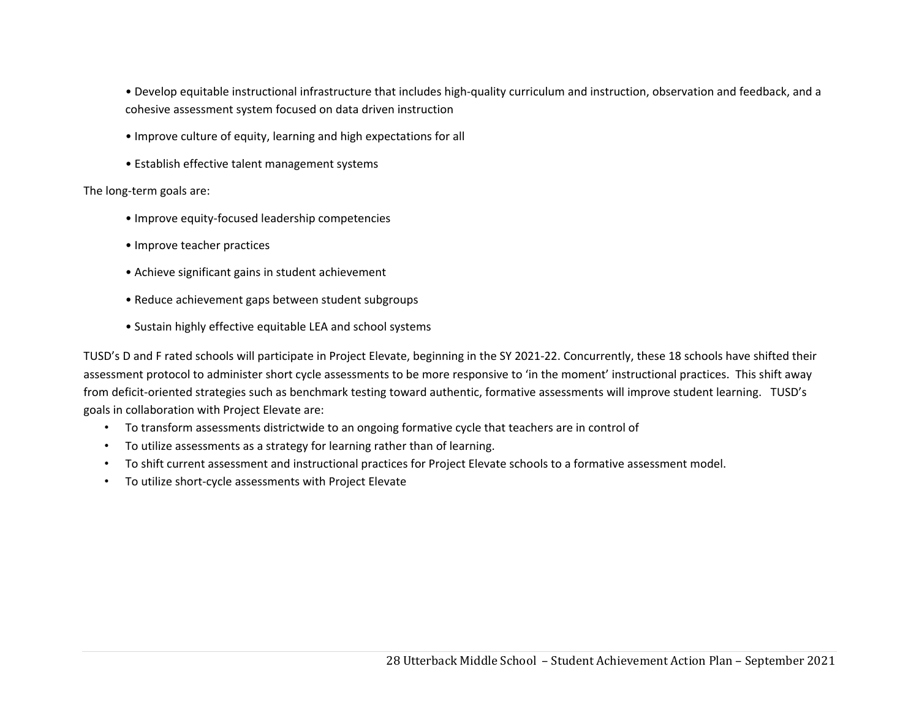• Develop equitable instructional infrastructure that includes high‐quality curriculum and instruction, observation and feedback, and a cohesive assessment system focused on data driven instruction

- Improve culture of equity, learning and high expectations for all
- Establish effective talent management systems

The long‐term goals are:

- Improve equity‐focused leadership competencies
- Improve teacher practices
- Achieve significant gains in student achievement
- Reduce achievement gaps between student subgroups
- Sustain highly effective equitable LEA and school systems

TUSD's D and F rated schools will participate in Project Elevate, beginning in the SY 2021-22. Concurrently, these 18 schools have shifted their assessment protocol to administer short cycle assessments to be more responsive to 'in the moment' instructional practices. This shift away from deficit-oriented strategies such as benchmark testing toward authentic, formative assessments will improve student learning. TUSD's goals in collaboration with Project Elevate are:

- To transform assessments districtwide to an ongoing formative cycle that teachers are in control of
- To utilize assessments as a strategy for learning rather than of learning.
- To shift current assessment and instructional practices for Project Elevate schools to a formative assessment model.
- To utilize short‐cycle assessments with Project Elevate